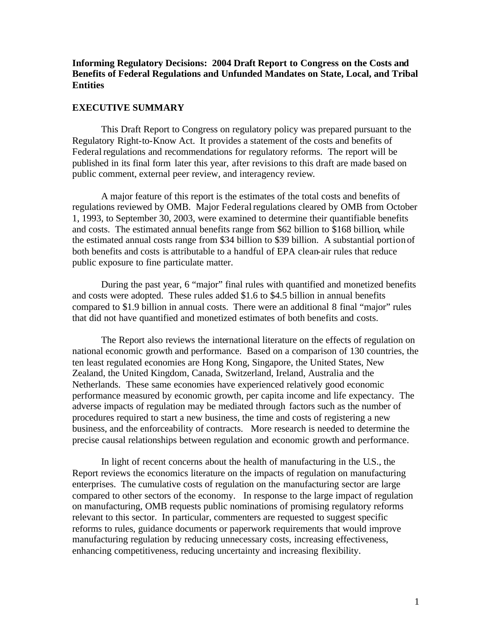# **Informing Regulatory Decisions: 2004 Draft Report to Congress on the Costs and Benefits of Federal Regulations and Unfunded Mandates on State, Local, and Tribal Entities**

#### **EXECUTIVE SUMMARY**

This Draft Report to Congress on regulatory policy was prepared pursuant to the Regulatory Right-to-Know Act. It provides a statement of the costs and benefits of Federal regulations and recommendations for regulatory reforms. The report will be published in its final form later this year, after revisions to this draft are made based on public comment, external peer review, and interagency review.

A major feature of this report is the estimates of the total costs and benefits of regulations reviewed by OMB. Major Federal regulations cleared by OMB from October 1, 1993, to September 30, 2003, were examined to determine their quantifiable benefits and costs. The estimated annual benefits range from \$62 billion to \$168 billion, while the estimated annual costs range from \$34 billion to \$39 billion. A substantial portion of both benefits and costs is attributable to a handful of EPA clean-air rules that reduce public exposure to fine particulate matter.

During the past year, 6 "major" final rules with quantified and monetized benefits and costs were adopted. These rules added \$1.6 to \$4.5 billion in annual benefits compared to \$1.9 billion in annual costs. There were an additional 8 final "major" rules that did not have quantified and monetized estimates of both benefits and costs.

The Report also reviews the international literature on the effects of regulation on national economic growth and performance. Based on a comparison of 130 countries, the ten least regulated economies are Hong Kong, Singapore, the United States, New Zealand, the United Kingdom, Canada, Switzerland, Ireland, Australia and the Netherlands. These same economies have experienced relatively good economic performance measured by economic growth, per capita income and life expectancy. The adverse impacts of regulation may be mediated through factors such as the number of procedures required to start a new business, the time and costs of registering a new business, and the enforceability of contracts. More research is needed to determine the precise causal relationships between regulation and economic growth and performance.

In light of recent concerns about the health of manufacturing in the U.S., the Report reviews the economics literature on the impacts of regulation on manufacturing enterprises. The cumulative costs of regulation on the manufacturing sector are large compared to other sectors of the economy. In response to the large impact of regulation on manufacturing, OMB requests public nominations of promising regulatory reforms relevant to this sector. In particular, commenters are requested to suggest specific reforms to rules, guidance documents or paperwork requirements that would improve manufacturing regulation by reducing unnecessary costs, increasing effectiveness, enhancing competitiveness, reducing uncertainty and increasing flexibility.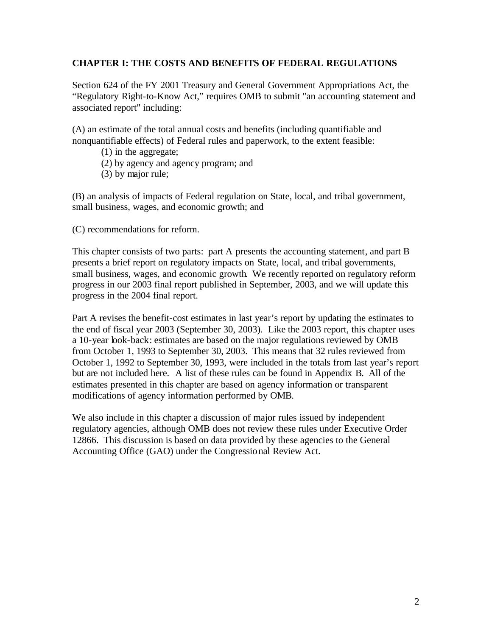# **CHAPTER I: THE COSTS AND BENEFITS OF FEDERAL REGULATIONS**

Section 624 of the FY 2001 Treasury and General Government Appropriations Act, the "Regulatory Right-to-Know Act," requires OMB to submit "an accounting statement and associated report" including:

(A) an estimate of the total annual costs and benefits (including quantifiable and nonquantifiable effects) of Federal rules and paperwork, to the extent feasible:

- (1) in the aggregate;
- (2) by agency and agency program; and
- (3) by major rule;

(B) an analysis of impacts of Federal regulation on State, local, and tribal government, small business, wages, and economic growth; and

(C) recommendations for reform.

This chapter consists of two parts: part A presents the accounting statement, and part B presents a brief report on regulatory impacts on State, local, and tribal governments, small business, wages, and economic growth. We recently reported on regulatory reform progress in our 2003 final report published in September, 2003, and we will update this progress in the 2004 final report.

Part A revises the benefit-cost estimates in last year's report by updating the estimates to the end of fiscal year 2003 (September 30, 2003). Like the 2003 report, this chapter uses a 10-year look-back: estimates are based on the major regulations reviewed by OMB from October 1, 1993 to September 30, 2003. This means that 32 rules reviewed from October 1, 1992 to September 30, 1993, were included in the totals from last year's report but are not included here. A list of these rules can be found in Appendix B. All of the estimates presented in this chapter are based on agency information or transparent modifications of agency information performed by OMB.

We also include in this chapter a discussion of major rules issued by independent regulatory agencies, although OMB does not review these rules under Executive Order 12866. This discussion is based on data provided by these agencies to the General Accounting Office (GAO) under the Congressio nal Review Act.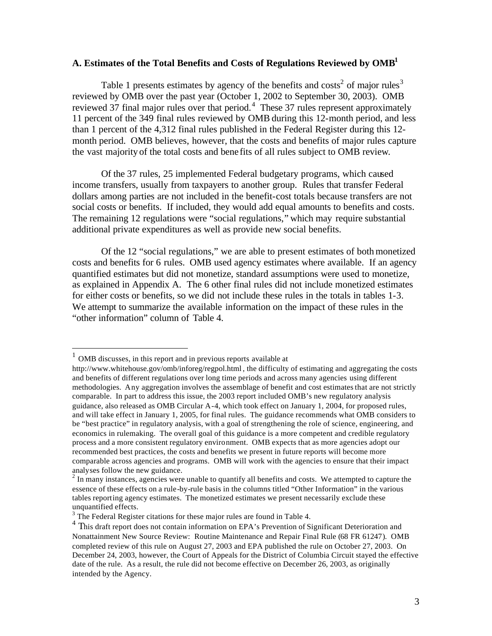# **A. Estimates of the Total Benefits and Costs of Regulations Reviewed by OMB1**

Table 1 presents estimates by agency of the benefits and costs<sup>2</sup> of major rules<sup>3</sup> reviewed by OMB over the past year (October 1, 2002 to September 30, 2003). OMB reviewed 37 final major rules over that period.<sup>4</sup> These 37 rules represent approximately 11 percent of the 349 final rules reviewed by OMB during this 12-month period, and less than 1 percent of the 4,312 final rules published in the Federal Register during this 12 month period. OMB believes, however, that the costs and benefits of major rules capture the vast majority of the total costs and bene fits of all rules subject to OMB review.

Of the 37 rules, 25 implemented Federal budgetary programs, which caused income transfers, usually from taxpayers to another group. Rules that transfer Federal dollars among parties are not included in the benefit-cost totals because transfers are not social costs or benefits. If included, they would add equal amounts to benefits and costs. The remaining 12 regulations were "social regulations," which may require substantial additional private expenditures as well as provide new social benefits.

Of the 12 "social regulations," we are able to present estimates of both monetized costs and benefits for 6 rules. OMB used agency estimates where available. If an agency quantified estimates but did not monetize, standard assumptions were used to monetize, as explained in Appendix A. The 6 other final rules did not include monetized estimates for either costs or benefits, so we did not include these rules in the totals in tables 1-3. We attempt to summarize the available information on the impact of these rules in the "other information" column of Table 4.

 $<sup>1</sup>$  OMB discusses, in this report and in previous reports available at</sup>

http://www.whitehouse.gov/omb/inforeg/regpol.html , the difficulty of estimating and aggregating the costs and benefits of different regulations over long time periods and across many agencies using different methodologies. Any aggregation involves the assemblage of benefit and cost estimates that are not strictly comparable. In part to address this issue, the 2003 report included OMB's new regulatory analysis guidance, also released as OMB Circular A -4, which took effect on January 1, 2004, for proposed rules, and will take effect in January 1, 2005, for final rules. The guidance recommends what OMB considers to be "best practice" in regulatory analysis, with a goal of strengthening the role of science, engineering, and economics in rulemaking. The overall goal of this guidance is a more competent and credible regulatory process and a more consistent regulatory enviro nment. OMB expects that as more agencies adopt our recommended best practices, the costs and benefits we present in future reports will become more comparable across agencies and programs. OMB will work with the agencies to ensure that their impact analyses follow the new guidance.

 $2 \text{ n}$  many instances, agencies were unable to quantify all benefits and costs. We attempted to capture the essence of these effects on a rule-by-rule basis in the columns titled "Other Information" in the various tables reporting agency estimates. The monetized estimates we present necessarily exclude these unquantified effects.

 $3$  The Federal Register citations for these major rules are found in Table 4.

<sup>&</sup>lt;sup>4</sup> This draft report does not contain information on EPA's Prevention of Significant Deterioration and Nonattainment New Source Review: Routine Maintenance and Repair Final Rule (68 FR 61247). OMB completed review of this rule on August 27, 2003 and EPA published the rule on October 27, 2003. On December 24, 2003, however, the Court of Appeals for the District of Columbia Circuit stayed the effective date of the rule. As a result, the rule did not become effective on December 26, 2003, as originally intended by the Agency.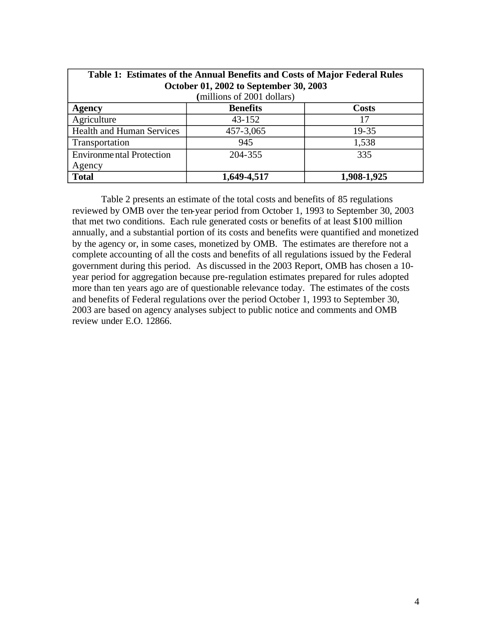| Table 1: Estimates of the Annual Benefits and Costs of Major Federal Rules |                            |             |  |  |  |  |
|----------------------------------------------------------------------------|----------------------------|-------------|--|--|--|--|
| October 01, 2002 to September 30, 2003                                     |                            |             |  |  |  |  |
|                                                                            | (millions of 2001 dollars) |             |  |  |  |  |
| <b>Benefits</b><br><b>Costs</b><br><b>Agency</b>                           |                            |             |  |  |  |  |
| Agriculture                                                                | $43 - 152$                 | 17          |  |  |  |  |
| <b>Health and Human Services</b>                                           | 457-3,065                  | 19-35       |  |  |  |  |
| Transportation                                                             | 945                        | 1,538       |  |  |  |  |
| <b>Environmental Protection</b>                                            | 204-355                    | 335         |  |  |  |  |
| Agency                                                                     |                            |             |  |  |  |  |
| <b>Total</b>                                                               | 1,649-4,517                | 1,908-1,925 |  |  |  |  |

Table 2 presents an estimate of the total costs and benefits of 85 regulations reviewed by OMB over the ten-year period from October 1, 1993 to September 30, 2003 that met two conditions. Each rule generated costs or benefits of at least \$100 million annually, and a substantial portion of its costs and benefits were quantified and monetized by the agency or, in some cases, monetized by OMB. The estimates are therefore not a complete accounting of all the costs and benefits of all regulations issued by the Federal government during this period. As discussed in the 2003 Report, OMB has chosen a 10 year period for aggregation because pre-regulation estimates prepared for rules adopted more than ten years ago are of questionable relevance today. The estimates of the costs and benefits of Federal regulations over the period October 1, 1993 to September 30, 2003 are based on agency analyses subject to public notice and comments and OMB review under E.O. 12866.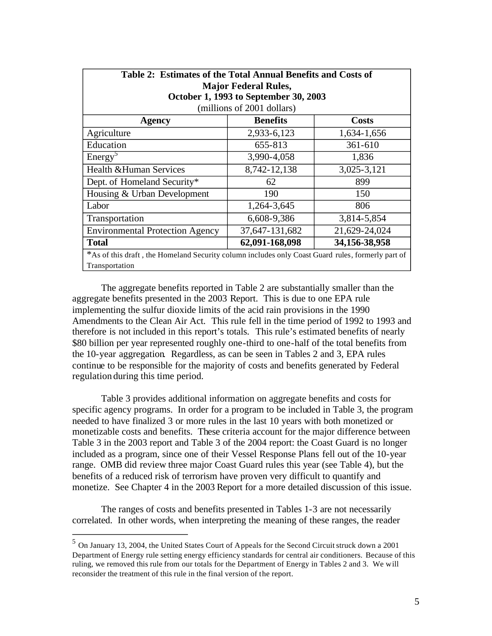| Table 2: Estimates of the Total Annual Benefits and Costs of                                      |                                       |               |  |  |  |  |
|---------------------------------------------------------------------------------------------------|---------------------------------------|---------------|--|--|--|--|
| <b>Major Federal Rules,</b>                                                                       |                                       |               |  |  |  |  |
|                                                                                                   | October 1, 1993 to September 30, 2003 |               |  |  |  |  |
|                                                                                                   | (millions of 2001 dollars)            |               |  |  |  |  |
| <b>Benefits</b><br><b>Costs</b><br><b>Agency</b>                                                  |                                       |               |  |  |  |  |
| Agriculture                                                                                       | 2,933-6,123                           | 1,634-1,656   |  |  |  |  |
| Education                                                                                         | 655-813                               | 361-610       |  |  |  |  |
| Energy <sup>5</sup>                                                                               | 3,990-4,058                           | 1,836         |  |  |  |  |
| <b>Health &amp; Human Services</b>                                                                | 8,742-12,138                          | 3,025-3,121   |  |  |  |  |
| Dept. of Homeland Security*                                                                       | 62                                    | 899           |  |  |  |  |
| Housing & Urban Development                                                                       | 190                                   | 150           |  |  |  |  |
| Labor                                                                                             | 1,264-3,645                           | 806           |  |  |  |  |
| Transportation                                                                                    | 6,608-9,386                           | 3,814-5,854   |  |  |  |  |
| <b>Environmental Protection Agency</b>                                                            | 37,647-131,682                        | 21,629-24,024 |  |  |  |  |
| 62,091-168,098<br>34,156-38,958<br><b>Total</b>                                                   |                                       |               |  |  |  |  |
| *As of this draft, the Homeland Security column includes only Coast Guard rules, formerly part of |                                       |               |  |  |  |  |
| Transportation                                                                                    |                                       |               |  |  |  |  |

The aggregate benefits reported in Table 2 are substantially smaller than the aggregate benefits presented in the 2003 Report. This is due to one EPA rule implementing the sulfur dioxide limits of the acid rain provisions in the 1990 Amendments to the Clean Air Act. This rule fell in the time period of 1992 to 1993 and therefore is not included in this report's totals. This rule's estimated benefits of nearly \$80 billion per year represented roughly one-third to one-half of the total benefits from the 10-year aggregation. Regardless, as can be seen in Tables 2 and 3, EPA rules continue to be responsible for the majority of costs and benefits generated by Federal regulation during this time period.

Table 3 provides additional information on aggregate benefits and costs for specific agency programs. In order for a program to be included in Table 3, the program needed to have finalized 3 or more rules in the last 10 years with both monetized or monetizable costs and benefits. These criteria account for the major difference between Table 3 in the 2003 report and Table 3 of the 2004 report: the Coast Guard is no longer included as a program, since one of their Vessel Response Plans fell out of the 10-year range. OMB did review three major Coast Guard rules this year (see Table 4), but the benefits of a reduced risk of terrorism have proven very difficult to quantify and monetize. See Chapter 4 in the 2003 Report for a more detailed discussion of this issue.

The ranges of costs and benefits presented in Tables 1-3 are not necessarily correlated. In other words, when interpreting the meaning of these ranges, the reader

<sup>5</sup> On January 13, 2004, the United States Court of A ppeals for the Second Circuit struck down a 2001 Department of Energy rule setting energy efficiency standards for central air conditioners. Because of this ruling, we removed this rule from our totals for the Department of Energy in Tables 2 and 3. We will reconsider the treatment of this rule in the final version of the report.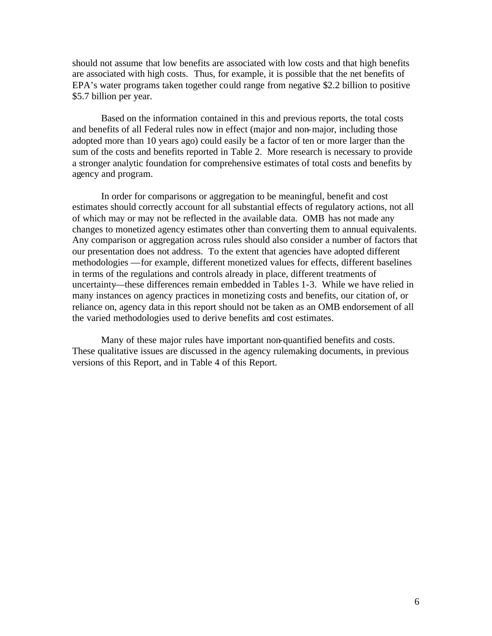should not assume that low benefits are associated with low costs and that high benefits are associated with high costs. Thus, for example, it is possible that the net benefits of EPA's water programs taken together could range from negative \$2.2 billion to positive \$5.7 billion per year.

Based on the information contained in this and previous reports, the total costs and benefits of all Federal rules now in effect (major and non-major, including those adopted more than 10 years ago) could easily be a factor of ten or more larger than the sum of the costs and benefits reported in Table 2. More research is necessary to provide a stronger analytic foundation for comprehensive estimates of total costs and benefits by agency and program.

In order for comparisons or aggregation to be meaningful, benefit and cost estimates should correctly account for all substantial effects of regulatory actions, not all of which may or may not be reflected in the available data. OMB has not made any changes to monetized agency estimates other than converting them to annual equivalents. Any comparison or aggregation across rules should also consider a number of factors that our presentation does not address. To the extent that agencies have adopted different methodologies —for example, different monetized values for effects, different baselines in terms of the regulations and controls already in place, different treatments of uncertainty—these differences remain embedded in Tables 1-3. While we have relied in many instances on agency practices in monetizing costs and benefits, our citation of, or reliance on, agency data in this report should not be taken as an OMB endorsement of all the varied methodologies used to derive benefits and cost estimates.

Many of these major rules have important non-quantified benefits and costs. These qualitative issues are discussed in the agency rulemaking documents, in previous versions of this Report, and in Table 4 of this Report.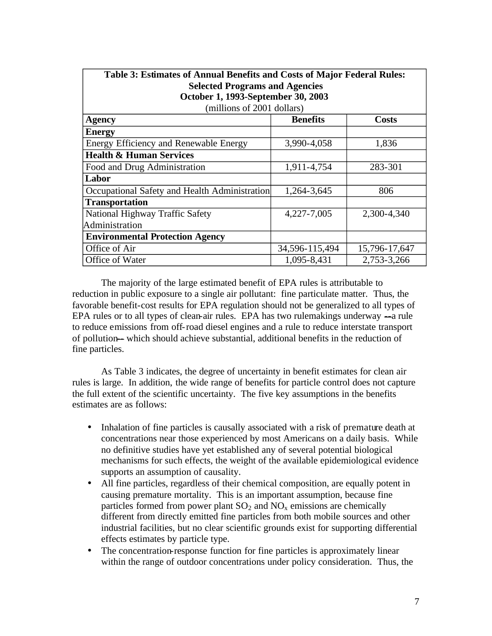| Table 3: Estimates of Annual Benefits and Costs of Major Federal Rules: |                 |               |  |  |  |  |  |
|-------------------------------------------------------------------------|-----------------|---------------|--|--|--|--|--|
| <b>Selected Programs and Agencies</b>                                   |                 |               |  |  |  |  |  |
| October 1, 1993-September 30, 2003                                      |                 |               |  |  |  |  |  |
| (millions of 2001 dollars)                                              |                 |               |  |  |  |  |  |
| <b>Agency</b>                                                           | <b>Benefits</b> | Costs         |  |  |  |  |  |
| <b>Energy</b>                                                           |                 |               |  |  |  |  |  |
| Energy Efficiency and Renewable Energy                                  | 3,990-4,058     | 1,836         |  |  |  |  |  |
| <b>Health &amp; Human Services</b>                                      |                 |               |  |  |  |  |  |
| Food and Drug Administration                                            | 1,911-4,754     | 283-301       |  |  |  |  |  |
| Labor                                                                   |                 |               |  |  |  |  |  |
| Occupational Safety and Health Administration                           | 1,264-3,645     | 806           |  |  |  |  |  |
| <b>Transportation</b>                                                   |                 |               |  |  |  |  |  |
| National Highway Traffic Safety                                         | 4,227-7,005     | 2,300-4,340   |  |  |  |  |  |
| Administration                                                          |                 |               |  |  |  |  |  |
| <b>Environmental Protection Agency</b>                                  |                 |               |  |  |  |  |  |
| Office of Air                                                           | 34,596-115,494  | 15,796-17,647 |  |  |  |  |  |
| Office of Water                                                         | 1,095-8,431     | 2,753-3,266   |  |  |  |  |  |

The majority of the large estimated benefit of EPA rules is attributable to reduction in public exposure to a single air pollutant: fine particulate matter. Thus, the favorable benefit-cost results for EPA regulation should not be generalized to all types of EPA rules or to all types of clean-air rules. EPA has two rulemakings underway  $-a$  rule to reduce emissions from off-road diesel engines and a rule to reduce interstate transport of pollution-- which should achieve substantial, additional benefits in the reduction of fine particles.

As Table 3 indicates, the degree of uncertainty in benefit estimates for clean air rules is large. In addition, the wide range of benefits for particle control does not capture the full extent of the scientific uncertainty. The five key assumptions in the benefits estimates are as follows:

- Inhalation of fine particles is causally associated with a risk of premature death at concentrations near those experienced by most Americans on a daily basis. While no definitive studies have yet established any of several potential biological mechanisms for such effects, the weight of the available epidemiological evidence supports an assumption of causality.
- All fine particles, regardless of their chemical composition, are equally potent in causing premature mortality. This is an important assumption, because fine particles formed from power plant  $SO_2$  and  $NO_x$  emissions are chemically different from directly emitted fine particles from both mobile sources and other industrial facilities, but no clear scientific grounds exist for supporting differential effects estimates by particle type.
- The concentration-response function for fine particles is approximately linear within the range of outdoor concentrations under policy consideration. Thus, the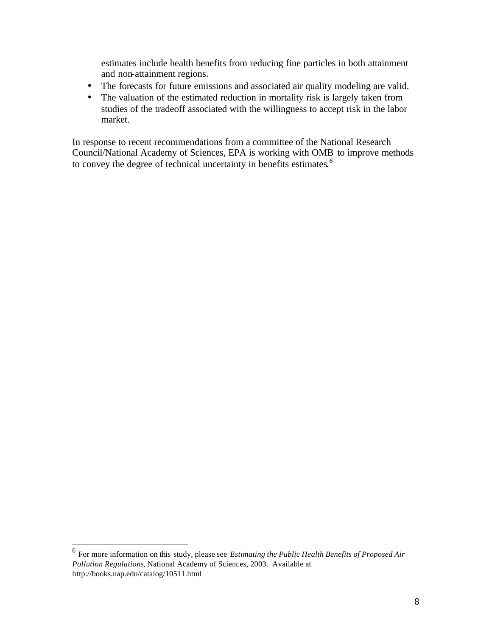estimates include health benefits from reducing fine particles in both attainment and non-attainment regions.

- The forecasts for future emissions and associated air quality modeling are valid.
- The valuation of the estimated reduction in mortality risk is largely taken from studies of the tradeoff associated with the willingness to accept risk in the labor market.

In response to recent recommendations from a committee of the National Research Council/National Academy of Sciences, EPA is working with OMB to improve methods to convey the degree of technical uncertainty in benefits estimates*. 6* 

<sup>&</sup>lt;sup>6</sup> For more information on this study, please see *Estimating the Public Health Benefits of Proposed Air Pollution Regulations*, National Academy of Sciences, 2003. Available at http://books.nap.edu/catalog/10511.html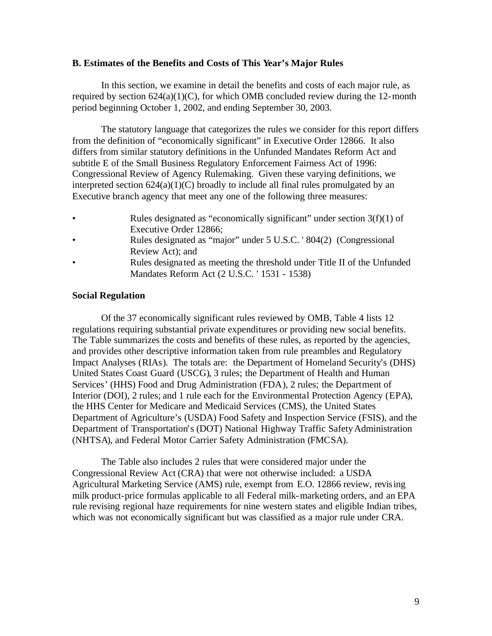#### **B. Estimates of the Benefits and Costs of This Year's Major Rules**

In this section, we examine in detail the benefits and costs of each major rule, as required by section  $624(a)(1)(C)$ , for which OMB concluded review during the 12-month period beginning October 1, 2002, and ending September 30, 2003.

The statutory language that categorizes the rules we consider for this report differs from the definition of "economically significant" in Executive Order 12866. It also differs from similar statutory definitions in the Unfunded Mandates Reform Act and subtitle E of the Small Business Regulatory Enforcement Fairness Act of 1996: Congressional Review of Agency Rulemaking. Given these varying definitions, we interpreted section  $624(a)(1)(C)$  broadly to include all final rules promulgated by an Executive branch agency that meet any one of the following three measures:

- Rules designated as "economically significant" under section  $3(f)(1)$  of Executive Order 12866;
- Rules designated as "major" under 5 U.S.C. ' 804(2) (Congressional Review Act); and
- Rules designa ted as meeting the threshold under Title II of the Unfunded Mandates Reform Act (2 U.S.C. ' 1531 - 1538)

## **Social Regulation**

Of the 37 economically significant rules reviewed by OMB, Table 4 lists 12 regulations requiring substantial private expenditures or providing new social benefits. The Table summarizes the costs and benefits of these rules, as reported by the agencies, and provides other descriptive information taken from rule preambles and Regulatory Impact Analyses (RIAs). The totals are: the Department of Homeland Security's (DHS) United States Coast Guard (USCG), 3 rules; the Department of Health and Human Services' (HHS) Food and Drug Administration (FDA), 2 rules; the Department of Interior (DOI), 2 rules; and 1 rule each for the Environmental Protection Agency (EPA), the HHS Center for Medicare and Medicaid Services (CMS), the United States Department of Agriculture's (USDA) Food Safety and Inspection Service (FSIS), and the Department of Transportation's (DOT) National Highway Traffic Safety Administration (NHTSA), and Federal Motor Carrier Safety Administration (FMCSA).

The Table also includes 2 rules that were considered major under the Congressional Review Act (CRA) that were not otherwise included: a USDA Agricultural Marketing Service (AMS) rule, exempt from E.O. 12866 review, revis ing milk product-price formulas applicable to all Federal milk-marketing orders, and an EPA rule revising regional haze requirements for nine western states and eligible Indian tribes, which was not economically significant but was classified as a major rule under CRA.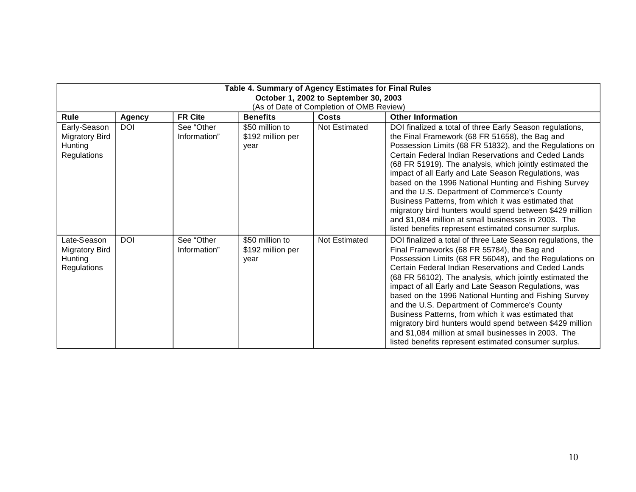| Table 4. Summary of Agency Estimates for Final Rules<br>October 1, 2002 to September 30, 2003 |               |                            |                                              |               |                                                                                                                                                                                                                                                                                                                                                                                                                                                                                                                                                                                                                                                                                               |  |  |
|-----------------------------------------------------------------------------------------------|---------------|----------------------------|----------------------------------------------|---------------|-----------------------------------------------------------------------------------------------------------------------------------------------------------------------------------------------------------------------------------------------------------------------------------------------------------------------------------------------------------------------------------------------------------------------------------------------------------------------------------------------------------------------------------------------------------------------------------------------------------------------------------------------------------------------------------------------|--|--|
| (As of Date of Completion of OMB Review)                                                      |               |                            |                                              |               |                                                                                                                                                                                                                                                                                                                                                                                                                                                                                                                                                                                                                                                                                               |  |  |
| Rule                                                                                          | <b>Agency</b> | <b>FR Cite</b>             | <b>Benefits</b>                              | Costs         | <b>Other Information</b>                                                                                                                                                                                                                                                                                                                                                                                                                                                                                                                                                                                                                                                                      |  |  |
| Early-Season<br><b>Migratory Bird</b><br>Hunting<br>Regulations                               | <b>DOI</b>    | See "Other<br>Information" | \$50 million to<br>\$192 million per<br>year | Not Estimated | DOI finalized a total of three Early Season regulations,<br>the Final Framework (68 FR 51658), the Bag and<br>Possession Limits (68 FR 51832), and the Regulations on<br>Certain Federal Indian Reservations and Ceded Lands<br>(68 FR 51919). The analysis, which jointly estimated the<br>impact of all Early and Late Season Regulations, was<br>based on the 1996 National Hunting and Fishing Survey<br>and the U.S. Department of Commerce's County<br>Business Patterns, from which it was estimated that<br>migratory bird hunters would spend between \$429 million<br>and \$1,084 million at small businesses in 2003. The<br>listed benefits represent estimated consumer surplus. |  |  |
| Late-Season<br><b>Migratory Bird</b><br>Hunting<br>Regulations                                | <b>DOI</b>    | See "Other<br>Information" | \$50 million to<br>\$192 million per<br>year | Not Estimated | DOI finalized a total of three Late Season regulations, the<br>Final Frameworks (68 FR 55784), the Bag and<br>Possession Limits (68 FR 56048), and the Regulations on<br>Certain Federal Indian Reservations and Ceded Lands<br>(68 FR 56102). The analysis, which jointly estimated the<br>impact of all Early and Late Season Regulations, was<br>based on the 1996 National Hunting and Fishing Survey<br>and the U.S. Department of Commerce's County<br>Business Patterns, from which it was estimated that<br>migratory bird hunters would spend between \$429 million<br>and \$1,084 million at small businesses in 2003. The<br>listed benefits represent estimated consumer surplus. |  |  |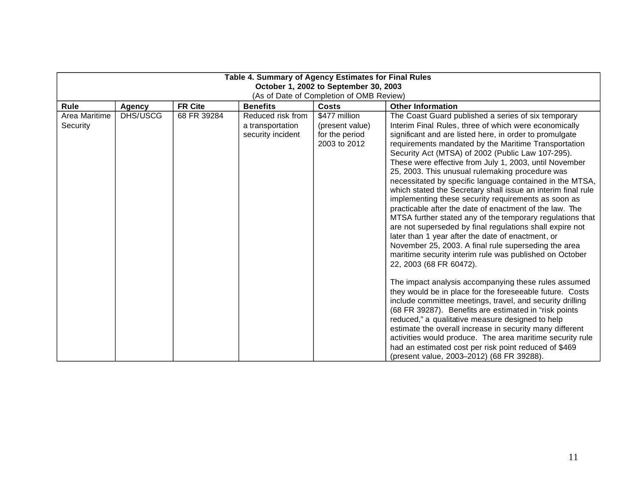| Table 4. Summary of Agency Estimates for Final Rules<br>October 1, 2002 to September 30, 2003<br>(As of Date of Completion of OMB Review) |               |                |                                                            |                                                                    |                                                                                                                                                                                                                                                                                                                                                                                                                                                                                                                                                                                                                                                                                                                                                                                                                                                                                                                                                                                                                                                                                                                                                                                                                                                                                                                                                                                                                                                                                                          |  |  |
|-------------------------------------------------------------------------------------------------------------------------------------------|---------------|----------------|------------------------------------------------------------|--------------------------------------------------------------------|----------------------------------------------------------------------------------------------------------------------------------------------------------------------------------------------------------------------------------------------------------------------------------------------------------------------------------------------------------------------------------------------------------------------------------------------------------------------------------------------------------------------------------------------------------------------------------------------------------------------------------------------------------------------------------------------------------------------------------------------------------------------------------------------------------------------------------------------------------------------------------------------------------------------------------------------------------------------------------------------------------------------------------------------------------------------------------------------------------------------------------------------------------------------------------------------------------------------------------------------------------------------------------------------------------------------------------------------------------------------------------------------------------------------------------------------------------------------------------------------------------|--|--|
| Rule                                                                                                                                      | <b>Agency</b> | <b>FR Cite</b> | <b>Benefits</b>                                            | Costs                                                              | <b>Other Information</b>                                                                                                                                                                                                                                                                                                                                                                                                                                                                                                                                                                                                                                                                                                                                                                                                                                                                                                                                                                                                                                                                                                                                                                                                                                                                                                                                                                                                                                                                                 |  |  |
| Area Maritime<br>Security                                                                                                                 | DHS/USCG      | 68 FR 39284    | Reduced risk from<br>a transportation<br>security incident | \$477 million<br>(present value)<br>for the period<br>2003 to 2012 | The Coast Guard published a series of six temporary<br>Interim Final Rules, three of which were economically<br>significant and are listed here, in order to promulgate<br>requirements mandated by the Maritime Transportation<br>Security Act (MTSA) of 2002 (Public Law 107-295).<br>These were effective from July 1, 2003, until November<br>25, 2003. This unusual rulemaking procedure was<br>necessitated by specific language contained in the MTSA,<br>which stated the Secretary shall issue an interim final rule<br>implementing these security requirements as soon as<br>practicable after the date of enactment of the law. The<br>MTSA further stated any of the temporary regulations that<br>are not superseded by final regulations shall expire not<br>later than 1 year after the date of enactment, or<br>November 25, 2003. A final rule superseding the area<br>maritime security interim rule was published on October<br>22, 2003 (68 FR 60472).<br>The impact analysis accompanying these rules assumed<br>they would be in place for the foreseeable future. Costs<br>include committee meetings, travel, and security drilling<br>(68 FR 39287). Benefits are estimated in "risk points<br>reduced," a qualitative measure designed to help<br>estimate the overall increase in security many different<br>activities would produce. The area maritime security rule<br>had an estimated cost per risk point reduced of \$469<br>(present value, 2003-2012) (68 FR 39288). |  |  |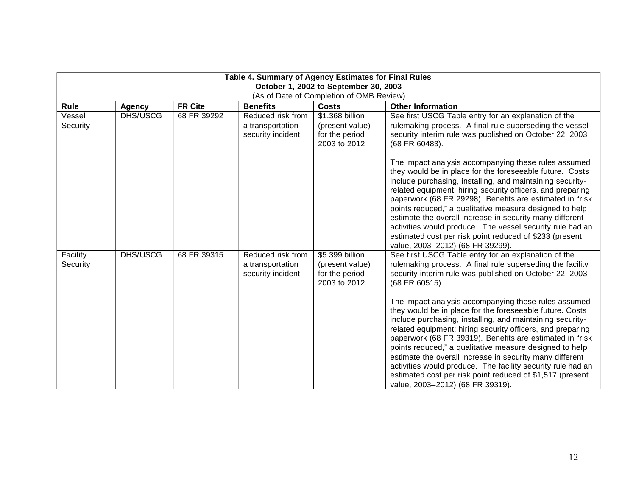| Table 4. Summary of Agency Estimates for Final Rules<br>October 1, 2002 to September 30, 2003                                               |          |             |                                                            |                                                                      |                                                                                                                                                                                                                                                                                                                                                                                                                                                                                                                                                                                                                                                                                                                                                                                                  |  |  |  |
|---------------------------------------------------------------------------------------------------------------------------------------------|----------|-------------|------------------------------------------------------------|----------------------------------------------------------------------|--------------------------------------------------------------------------------------------------------------------------------------------------------------------------------------------------------------------------------------------------------------------------------------------------------------------------------------------------------------------------------------------------------------------------------------------------------------------------------------------------------------------------------------------------------------------------------------------------------------------------------------------------------------------------------------------------------------------------------------------------------------------------------------------------|--|--|--|
| (As of Date of Completion of OMB Review)<br><b>FR Cite</b><br><b>Benefits</b><br><b>Other Information</b><br>Rule<br>Costs<br><b>Agency</b> |          |             |                                                            |                                                                      |                                                                                                                                                                                                                                                                                                                                                                                                                                                                                                                                                                                                                                                                                                                                                                                                  |  |  |  |
| Vessel<br>Security                                                                                                                          | DHS/USCG | 68 FR 39292 | Reduced risk from<br>a transportation<br>security incident | \$1.368 billion<br>(present value)<br>for the period<br>2003 to 2012 | See first USCG Table entry for an explanation of the<br>rulemaking process. A final rule superseding the vessel<br>security interim rule was published on October 22, 2003<br>(68 FR 60483).                                                                                                                                                                                                                                                                                                                                                                                                                                                                                                                                                                                                     |  |  |  |
|                                                                                                                                             |          |             |                                                            |                                                                      | The impact analysis accompanying these rules assumed<br>they would be in place for the foreseeable future. Costs<br>include purchasing, installing, and maintaining security-<br>related equipment; hiring security officers, and preparing<br>paperwork (68 FR 29298). Benefits are estimated in "risk<br>points reduced," a qualitative measure designed to help<br>estimate the overall increase in security many different<br>activities would produce. The vessel security rule had an<br>estimated cost per risk point reduced of \$233 (present<br>value, 2003-2012) (68 FR 39299).                                                                                                                                                                                                       |  |  |  |
| Facility<br>Security                                                                                                                        | DHS/USCG | 68 FR 39315 | Reduced risk from<br>a transportation<br>security incident | \$5.399 billion<br>(present value)<br>for the period<br>2003 to 2012 | See first USCG Table entry for an explanation of the<br>rulemaking process. A final rule superseding the facility<br>security interim rule was published on October 22, 2003<br>(68 FR 60515).<br>The impact analysis accompanying these rules assumed<br>they would be in place for the foreseeable future. Costs<br>include purchasing, installing, and maintaining security-<br>related equipment; hiring security officers, and preparing<br>paperwork (68 FR 39319). Benefits are estimated in "risk<br>points reduced," a qualitative measure designed to help<br>estimate the overall increase in security many different<br>activities would produce. The facility security rule had an<br>estimated cost per risk point reduced of \$1,517 (present<br>value, 2003-2012) (68 FR 39319). |  |  |  |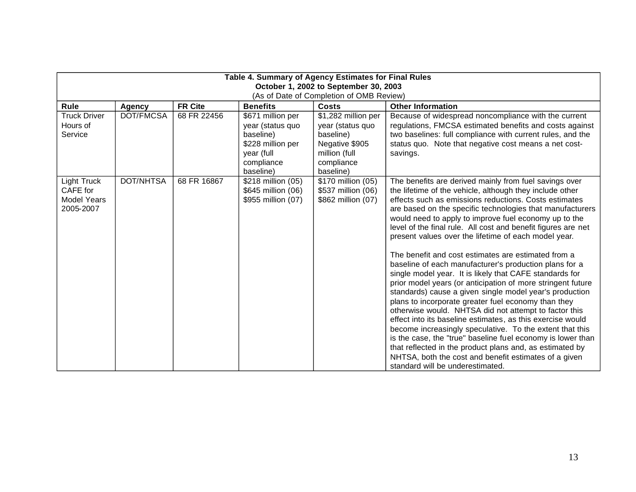| Table 4. Summary of Agency Estimates for Final Rules<br>October 1, 2002 to September 30, 2003                                               |           |             |                                                                                                                  |                                                                                                                    |                                                                                                                                                                                                                                                                                                                                                                                                                                                                                                                                                                                                                                                                                                                                                                                                                                                                                                                                                                                                                                                                                                                                                                                                    |  |
|---------------------------------------------------------------------------------------------------------------------------------------------|-----------|-------------|------------------------------------------------------------------------------------------------------------------|--------------------------------------------------------------------------------------------------------------------|----------------------------------------------------------------------------------------------------------------------------------------------------------------------------------------------------------------------------------------------------------------------------------------------------------------------------------------------------------------------------------------------------------------------------------------------------------------------------------------------------------------------------------------------------------------------------------------------------------------------------------------------------------------------------------------------------------------------------------------------------------------------------------------------------------------------------------------------------------------------------------------------------------------------------------------------------------------------------------------------------------------------------------------------------------------------------------------------------------------------------------------------------------------------------------------------------|--|
| (As of Date of Completion of OMB Review)<br><b>FR Cite</b><br>Rule<br><b>Benefits</b><br><b>Other Information</b><br>Costs<br><b>Agency</b> |           |             |                                                                                                                  |                                                                                                                    |                                                                                                                                                                                                                                                                                                                                                                                                                                                                                                                                                                                                                                                                                                                                                                                                                                                                                                                                                                                                                                                                                                                                                                                                    |  |
| <b>Truck Driver</b><br>Hours of<br>Service                                                                                                  | DOT/FMCSA | 68 FR 22456 | \$671 million per<br>year (status quo<br>baseline)<br>\$228 million per<br>year (full<br>compliance<br>baseline) | \$1,282 million per<br>year (status quo<br>baseline)<br>Negative \$905<br>million (full<br>compliance<br>baseline) | Because of widespread noncompliance with the current<br>regulations, FMCSA estimated benefits and costs against<br>two baselines: full compliance with current rules, and the<br>status quo. Note that negative cost means a net cost-<br>savings.                                                                                                                                                                                                                                                                                                                                                                                                                                                                                                                                                                                                                                                                                                                                                                                                                                                                                                                                                 |  |
| Light Truck<br>CAFE for<br><b>Model Years</b><br>2005-2007                                                                                  | DOT/NHTSA | 68 FR 16867 | \$218 million (05)<br>\$645 million (06)<br>\$955 million (07)                                                   | \$170 million (05)<br>\$537 million (06)<br>\$862 million (07)                                                     | The benefits are derived mainly from fuel savings over<br>the lifetime of the vehicle, although they include other<br>effects such as emissions reductions. Costs estimates<br>are based on the specific technologies that manufacturers<br>would need to apply to improve fuel economy up to the<br>level of the final rule. All cost and benefit figures are net<br>present values over the lifetime of each model year.<br>The benefit and cost estimates are estimated from a<br>baseline of each manufacturer's production plans for a<br>single model year. It is likely that CAFE standards for<br>prior model years (or anticipation of more stringent future<br>standards) cause a given single model year's production<br>plans to incorporate greater fuel economy than they<br>otherwise would. NHTSA did not attempt to factor this<br>effect into its baseline estimates, as this exercise would<br>become increasingly speculative. To the extent that this<br>is the case, the "true" baseline fuel economy is lower than<br>that reflected in the product plans and, as estimated by<br>NHTSA, both the cost and benefit estimates of a given<br>standard will be underestimated. |  |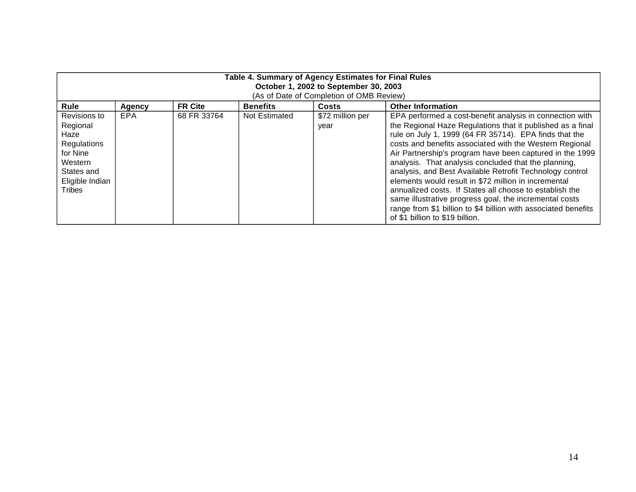| Table 4. Summary of Agency Estimates for Final Rules<br>October 1, 2002 to September 30, 2003<br>(As of Date of Completion of OMB Review) |        |                |                 |                          |                                                                                                                                                                                                                                                                                                                                                                                                                                                                                                                                                                                                                                                                                                               |  |  |
|-------------------------------------------------------------------------------------------------------------------------------------------|--------|----------------|-----------------|--------------------------|---------------------------------------------------------------------------------------------------------------------------------------------------------------------------------------------------------------------------------------------------------------------------------------------------------------------------------------------------------------------------------------------------------------------------------------------------------------------------------------------------------------------------------------------------------------------------------------------------------------------------------------------------------------------------------------------------------------|--|--|
| Rule                                                                                                                                      | Agency | <b>FR Cite</b> | <b>Benefits</b> | <b>Costs</b>             | <b>Other Information</b>                                                                                                                                                                                                                                                                                                                                                                                                                                                                                                                                                                                                                                                                                      |  |  |
| Revisions to<br>Regional<br>Haze<br>Regulations<br>for Nine<br>Western<br>States and<br>Eligible Indian<br>Tribes                         | EPA    | 68 FR 33764    | Not Estimated   | \$72 million per<br>vear | EPA performed a cost-benefit analysis in connection with<br>the Regional Haze Regulations that it published as a final<br>rule on July 1, 1999 (64 FR 35714). EPA finds that the<br>costs and benefits associated with the Western Regional<br>Air Partnership's program have been captured in the 1999<br>analysis. That analysis concluded that the planning,<br>analysis, and Best Available Retrofit Technology control<br>elements would result in \$72 million in incremental<br>annualized costs. If States all choose to establish the<br>same illustrative progress goal, the incremental costs<br>range from \$1 billion to \$4 billion with associated benefits<br>of \$1 billion to \$19 billion. |  |  |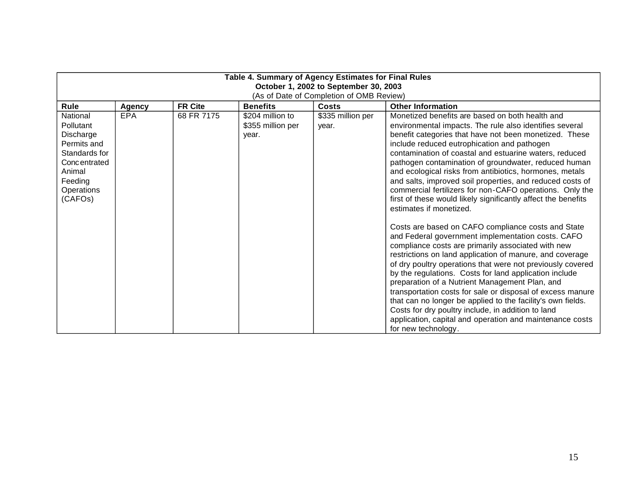| Table 4. Summary of Agency Estimates for Final Rules<br>October 1, 2002 to September 30, 2003<br>(As of Date of Completion of OMB Review) |               |                |                                                |                            |                                                                                                                                                                                                                                                                                                                                                                                                                                                                                                                                                                                                                                                                                                                                                                                                                                                                                                                                                                                                                                                                                                                                                                                                                                                                                                    |  |
|-------------------------------------------------------------------------------------------------------------------------------------------|---------------|----------------|------------------------------------------------|----------------------------|----------------------------------------------------------------------------------------------------------------------------------------------------------------------------------------------------------------------------------------------------------------------------------------------------------------------------------------------------------------------------------------------------------------------------------------------------------------------------------------------------------------------------------------------------------------------------------------------------------------------------------------------------------------------------------------------------------------------------------------------------------------------------------------------------------------------------------------------------------------------------------------------------------------------------------------------------------------------------------------------------------------------------------------------------------------------------------------------------------------------------------------------------------------------------------------------------------------------------------------------------------------------------------------------------|--|
| <b>Rule</b>                                                                                                                               | <b>Agency</b> | <b>FR Cite</b> | <b>Benefits</b>                                | <b>Costs</b>               | <b>Other Information</b>                                                                                                                                                                                                                                                                                                                                                                                                                                                                                                                                                                                                                                                                                                                                                                                                                                                                                                                                                                                                                                                                                                                                                                                                                                                                           |  |
| National<br>Pollutant<br>Discharge<br>Permits and<br>Standards for<br>Concentrated<br>Animal<br>Feeding<br>Operations<br>(CAFOs)          | <b>EPA</b>    | 68 FR 7175     | \$204 million to<br>\$355 million per<br>year. | \$335 million per<br>year. | Monetized benefits are based on both health and<br>environmental impacts. The rule also identifies several<br>benefit categories that have not been monetized. These<br>include reduced eutrophication and pathogen<br>contamination of coastal and estuarine waters, reduced<br>pathogen contamination of groundwater, reduced human<br>and ecological risks from antibiotics, hormones, metals<br>and salts, improved soil properties, and reduced costs of<br>commercial fertilizers for non-CAFO operations. Only the<br>first of these would likely significantly affect the benefits<br>estimates if monetized.<br>Costs are based on CAFO compliance costs and State<br>and Federal government implementation costs. CAFO<br>compliance costs are primarily associated with new<br>restrictions on land application of manure, and coverage<br>of dry poultry operations that were not previously covered<br>by the regulations. Costs for land application include<br>preparation of a Nutrient Management Plan, and<br>transportation costs for sale or disposal of excess manure<br>that can no longer be applied to the facility's own fields.<br>Costs for dry poultry include, in addition to land<br>application, capital and operation and maintenance costs<br>for new technology. |  |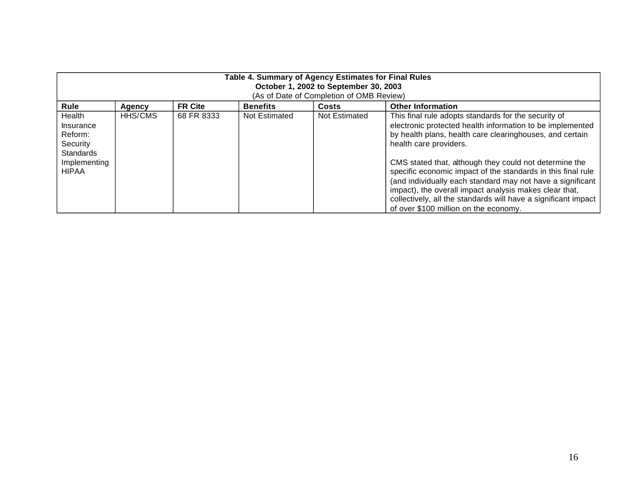| Table 4. Summary of Agency Estimates for Final Rules<br>October 1, 2002 to September 30, 2003<br>(As of Date of Completion of OMB Review) |         |                |                 |               |                                                                                                                                                                                                                                                                                                                                                                                                                                                                                                                                                                      |  |
|-------------------------------------------------------------------------------------------------------------------------------------------|---------|----------------|-----------------|---------------|----------------------------------------------------------------------------------------------------------------------------------------------------------------------------------------------------------------------------------------------------------------------------------------------------------------------------------------------------------------------------------------------------------------------------------------------------------------------------------------------------------------------------------------------------------------------|--|
| Rule                                                                                                                                      | Agency  | <b>FR Cite</b> | <b>Benefits</b> | Costs         | <b>Other Information</b>                                                                                                                                                                                                                                                                                                                                                                                                                                                                                                                                             |  |
| Health<br>Insurance<br>Reform:<br>Security<br><b>Standards</b><br>Implementing<br><b>HIPAA</b>                                            | HHS/CMS | 68 FR 8333     | Not Estimated   | Not Estimated | This final rule adopts standards for the security of<br>electronic protected health information to be implemented<br>by health plans, health care clearinghouses, and certain<br>health care providers.<br>CMS stated that, although they could not determine the<br>specific economic impact of the standards in this final rule<br>(and individually each standard may not have a significant<br>impact), the overall impact analysis makes clear that,<br>collectively, all the standards will have a significant impact<br>of over \$100 million on the economy. |  |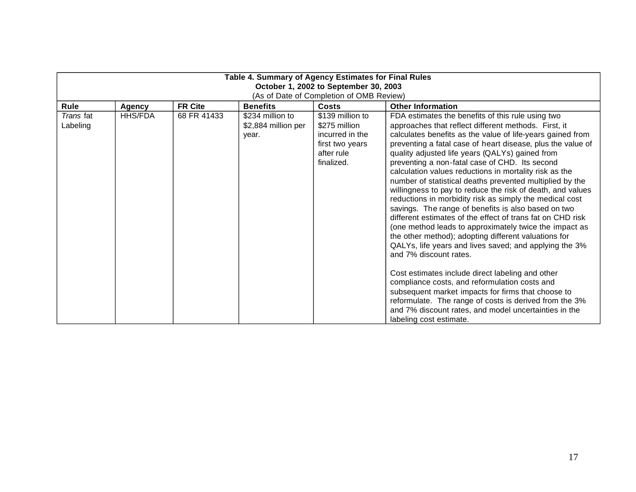| Table 4. Summary of Agency Estimates for Final Rules<br>October 1, 2002 to September 30, 2003 |                |                |                                                  |                                                                                                     |                                                                                                                                                                                                                                                                                                                                                                                                                                                                                                                                                                                                                                                                                                                                                                                                                                                                                                                                                                                                                                                                                                                                                                                                                                |  |  |
|-----------------------------------------------------------------------------------------------|----------------|----------------|--------------------------------------------------|-----------------------------------------------------------------------------------------------------|--------------------------------------------------------------------------------------------------------------------------------------------------------------------------------------------------------------------------------------------------------------------------------------------------------------------------------------------------------------------------------------------------------------------------------------------------------------------------------------------------------------------------------------------------------------------------------------------------------------------------------------------------------------------------------------------------------------------------------------------------------------------------------------------------------------------------------------------------------------------------------------------------------------------------------------------------------------------------------------------------------------------------------------------------------------------------------------------------------------------------------------------------------------------------------------------------------------------------------|--|--|
| (As of Date of Completion of OMB Review)                                                      |                |                |                                                  |                                                                                                     |                                                                                                                                                                                                                                                                                                                                                                                                                                                                                                                                                                                                                                                                                                                                                                                                                                                                                                                                                                                                                                                                                                                                                                                                                                |  |  |
| Rule                                                                                          | <b>Agency</b>  | <b>FR Cite</b> | <b>Benefits</b>                                  | <b>Costs</b>                                                                                        | <b>Other Information</b>                                                                                                                                                                                                                                                                                                                                                                                                                                                                                                                                                                                                                                                                                                                                                                                                                                                                                                                                                                                                                                                                                                                                                                                                       |  |  |
| Trans fat<br>Labeling                                                                         | <b>HHS/FDA</b> | 68 FR 41433    | \$234 million to<br>\$2,884 million per<br>year. | \$139 million to<br>\$275 million<br>incurred in the<br>first two years<br>after rule<br>finalized. | FDA estimates the benefits of this rule using two<br>approaches that reflect different methods. First, it<br>calculates benefits as the value of life-years gained from<br>preventing a fatal case of heart disease, plus the value of<br>quality adjusted life years (QALYs) gained from<br>preventing a non-fatal case of CHD. Its second<br>calculation values reductions in mortality risk as the<br>number of statistical deaths prevented multiplied by the<br>willingness to pay to reduce the risk of death, and values<br>reductions in morbidity risk as simply the medical cost<br>savings. The range of benefits is also based on two<br>different estimates of the effect of trans fat on CHD risk<br>(one method leads to approximately twice the impact as<br>the other method); adopting different valuations for<br>QALYs, life years and lives saved; and applying the 3%<br>and 7% discount rates.<br>Cost estimates include direct labeling and other<br>compliance costs, and reformulation costs and<br>subsequent market impacts for firms that choose to<br>reformulate. The range of costs is derived from the 3%<br>and 7% discount rates, and model uncertainties in the<br>labeling cost estimate. |  |  |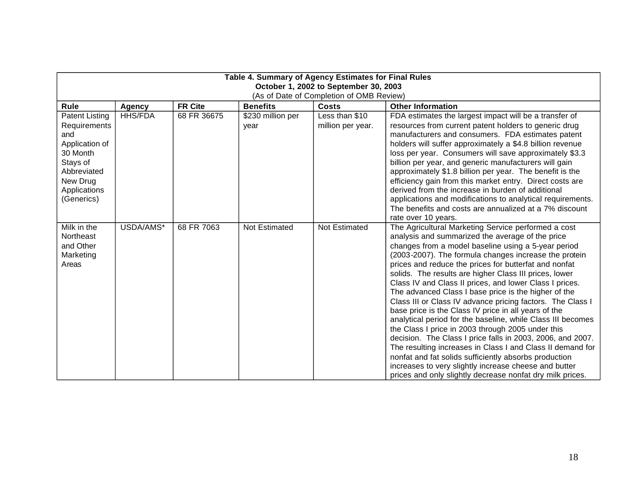| Table 4. Summary of Agency Estimates for Final Rules<br>October 1, 2002 to September 30, 2003<br>(As of Date of Completion of OMB Review)       |                |                |                           |                                     |                                                                                                                                                                                                                                                                                                                                                                                                                                                                                                                                                                                                                                                                                                                                                                                                                                                                                                                                                                                                                    |  |
|-------------------------------------------------------------------------------------------------------------------------------------------------|----------------|----------------|---------------------------|-------------------------------------|--------------------------------------------------------------------------------------------------------------------------------------------------------------------------------------------------------------------------------------------------------------------------------------------------------------------------------------------------------------------------------------------------------------------------------------------------------------------------------------------------------------------------------------------------------------------------------------------------------------------------------------------------------------------------------------------------------------------------------------------------------------------------------------------------------------------------------------------------------------------------------------------------------------------------------------------------------------------------------------------------------------------|--|
| Rule                                                                                                                                            | <b>Agency</b>  | <b>FR Cite</b> | <b>Benefits</b>           | Costs                               | <b>Other Information</b>                                                                                                                                                                                                                                                                                                                                                                                                                                                                                                                                                                                                                                                                                                                                                                                                                                                                                                                                                                                           |  |
| <b>Patent Listing</b><br>Requirements<br>and<br>Application of<br>30 Month<br>Stays of<br>Abbreviated<br>New Drug<br>Applications<br>(Generics) | <b>HHS/FDA</b> | 68 FR 36675    | \$230 million per<br>year | Less than \$10<br>million per year. | FDA estimates the largest impact will be a transfer of<br>resources from current patent holders to generic drug<br>manufacturers and consumers. FDA estimates patent<br>holders will suffer approximately a \$4.8 billion revenue<br>loss per year. Consumers will save approximately \$3.3<br>billion per year, and generic manufacturers will gain<br>approximately \$1.8 billion per year. The benefit is the<br>efficiency gain from this market entry. Direct costs are<br>derived from the increase in burden of additional<br>applications and modifications to analytical requirements.<br>The benefits and costs are annualized at a 7% discount<br>rate over 10 years.                                                                                                                                                                                                                                                                                                                                   |  |
| Milk in the<br>Northeast<br>and Other<br>Marketing<br>Areas                                                                                     | USDA/AMS*      | 68 FR 7063     | <b>Not Estimated</b>      | <b>Not Estimated</b>                | The Agricultural Marketing Service performed a cost<br>analysis and summarized the average of the price<br>changes from a model baseline using a 5-year period<br>(2003-2007). The formula changes increase the protein<br>prices and reduce the prices for butterfat and nonfat<br>solids. The results are higher Class III prices, lower<br>Class IV and Class II prices, and lower Class I prices.<br>The advanced Class I base price is the higher of the<br>Class III or Class IV advance pricing factors. The Class I<br>base price is the Class IV price in all years of the<br>analytical period for the baseline, while Class III becomes<br>the Class I price in 2003 through 2005 under this<br>decision. The Class I price falls in 2003, 2006, and 2007.<br>The resulting increases in Class I and Class II demand for<br>nonfat and fat solids sufficiently absorbs production<br>increases to very slightly increase cheese and butter<br>prices and only slightly decrease nonfat dry milk prices. |  |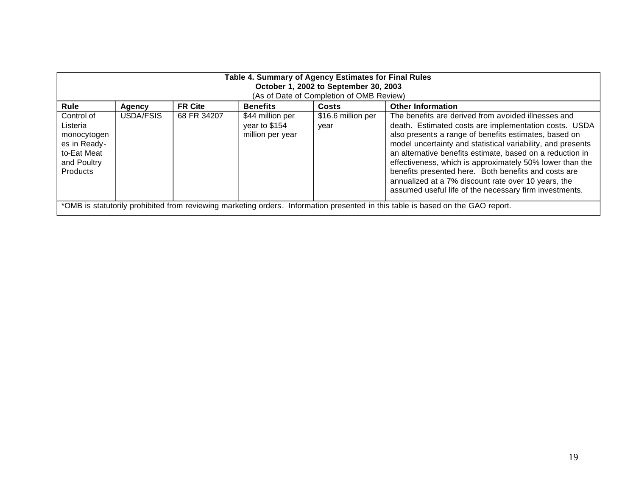| Table 4. Summary of Agency Estimates for Final Rules<br>October 1, 2002 to September 30, 2003          |                                          |                |                                                       |                            |                                                                                                                                                                                                                                                                                                                                                                                                                                                                                                                                        |  |  |  |
|--------------------------------------------------------------------------------------------------------|------------------------------------------|----------------|-------------------------------------------------------|----------------------------|----------------------------------------------------------------------------------------------------------------------------------------------------------------------------------------------------------------------------------------------------------------------------------------------------------------------------------------------------------------------------------------------------------------------------------------------------------------------------------------------------------------------------------------|--|--|--|
|                                                                                                        | (As of Date of Completion of OMB Review) |                |                                                       |                            |                                                                                                                                                                                                                                                                                                                                                                                                                                                                                                                                        |  |  |  |
|                                                                                                        |                                          |                |                                                       |                            |                                                                                                                                                                                                                                                                                                                                                                                                                                                                                                                                        |  |  |  |
| Rule                                                                                                   | Agency                                   | <b>FR Cite</b> | <b>Benefits</b>                                       | Costs                      | <b>Other Information</b>                                                                                                                                                                                                                                                                                                                                                                                                                                                                                                               |  |  |  |
| Control of<br>Listeria<br>monocytogen<br>es in Ready-<br>to-Eat Meat<br>and Poultry<br><b>Products</b> | USDA/FSIS                                | 68 FR 34207    | \$44 million per<br>year to \$154<br>million per year | \$16.6 million per<br>year | The benefits are derived from avoided illnesses and<br>death. Estimated costs are implementation costs. USDA<br>also presents a range of benefits estimates, based on<br>model uncertainty and statistical variability, and presents<br>an alternative benefits estimate, based on a reduction in<br>effectiveness, which is approximately 50% lower than the<br>benefits presented here. Both benefits and costs are<br>annualized at a 7% discount rate over 10 years, the<br>assumed useful life of the necessary firm investments. |  |  |  |
|                                                                                                        |                                          |                |                                                       |                            | *OMB is statutorily prohibited from reviewing marketing orders. Information presented in this table is based on the GAO report.                                                                                                                                                                                                                                                                                                                                                                                                        |  |  |  |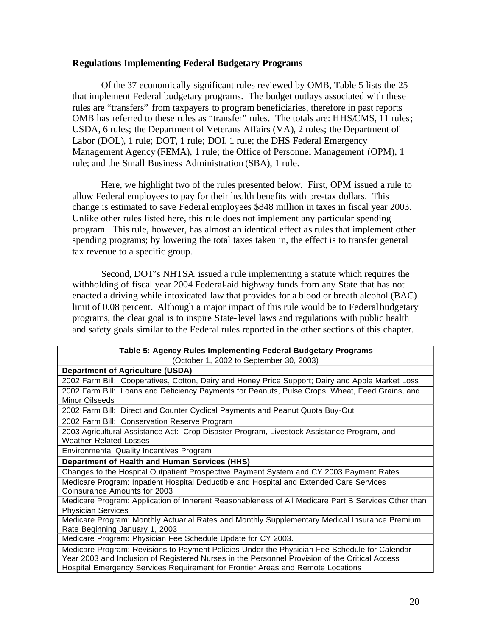## **Regulations Implementing Federal Budgetary Programs**

Of the 37 economically significant rules reviewed by OMB, Table 5 lists the 25 that implement Federal budgetary programs. The budget outlays associated with these rules are "transfers" from taxpayers to program beneficiaries, therefore in past reports OMB has referred to these rules as "transfer" rules. The totals are: HHS/CMS, 11 rules; USDA, 6 rules; the Department of Veterans Affairs (VA), 2 rules; the Department of Labor (DOL), 1 rule; DOT, 1 rule; DOI, 1 rule; the DHS Federal Emergency Management Agency (FEMA), 1 rule; the Office of Personnel Management (OPM), 1 rule; and the Small Business Administration (SBA), 1 rule.

Here, we highlight two of the rules presented below. First, OPM issued a rule to allow Federal employees to pay for their health benefits with pre-tax dollars. This change is estimated to save Federal employees \$848 million in taxes in fiscal year 2003. Unlike other rules listed here, this rule does not implement any particular spending program. This rule, however, has almost an identical effect as rules that implement other spending programs; by lowering the total taxes taken in, the effect is to transfer general tax revenue to a specific group.

Second, DOT's NHTSA issued a rule implementing a statute which requires the withholding of fiscal year 2004 Federal-aid highway funds from any State that has not enacted a driving while intoxicated law that provides for a blood or breath alcohol (BAC) limit of 0.08 percent. Although a major impact of this rule would be to Federal budgetary programs, the clear goal is to inspire State-level laws and regulations with public health and safety goals similar to the Federal rules reported in the other sections of this chapter.

| Table 5: Agency Rules Implementing Federal Budgetary Programs                                                                                                                                                                                                                      |
|------------------------------------------------------------------------------------------------------------------------------------------------------------------------------------------------------------------------------------------------------------------------------------|
| (October 1, 2002 to September 30, 2003)                                                                                                                                                                                                                                            |
| <b>Department of Agriculture (USDA)</b>                                                                                                                                                                                                                                            |
| 2002 Farm Bill: Cooperatives, Cotton, Dairy and Honey Price Support; Dairy and Apple Market Loss                                                                                                                                                                                   |
| 2002 Farm Bill: Loans and Deficiency Payments for Peanuts, Pulse Crops, Wheat, Feed Grains, and<br>Minor Oilseeds                                                                                                                                                                  |
| 2002 Farm Bill: Direct and Counter Cyclical Payments and Peanut Quota Buy-Out                                                                                                                                                                                                      |
| 2002 Farm Bill: Conservation Reserve Program                                                                                                                                                                                                                                       |
| 2003 Agricultural Assistance Act: Crop Disaster Program, Livestock Assistance Program, and<br><b>Weather-Related Losses</b>                                                                                                                                                        |
| <b>Environmental Quality Incentives Program</b>                                                                                                                                                                                                                                    |
| <b>Department of Health and Human Services (HHS)</b>                                                                                                                                                                                                                               |
| Changes to the Hospital Outpatient Prospective Payment System and CY 2003 Payment Rates                                                                                                                                                                                            |
| Medicare Program: Inpatient Hospital Deductible and Hospital and Extended Care Services<br>Coinsurance Amounts for 2003                                                                                                                                                            |
| Medicare Program: Application of Inherent Reasonableness of All Medicare Part B Services Other than<br><b>Physician Services</b>                                                                                                                                                   |
| Medicare Program: Monthly Actuarial Rates and Monthly Supplementary Medical Insurance Premium<br>Rate Beginning January 1, 2003                                                                                                                                                    |
| Medicare Program: Physician Fee Schedule Update for CY 2003.                                                                                                                                                                                                                       |
| Medicare Program: Revisions to Payment Policies Under the Physician Fee Schedule for Calendar<br>Year 2003 and Inclusion of Registered Nurses in the Personnel Provision of the Critical Access<br>Hospital Emergency Services Requirement for Frontier Areas and Remote Locations |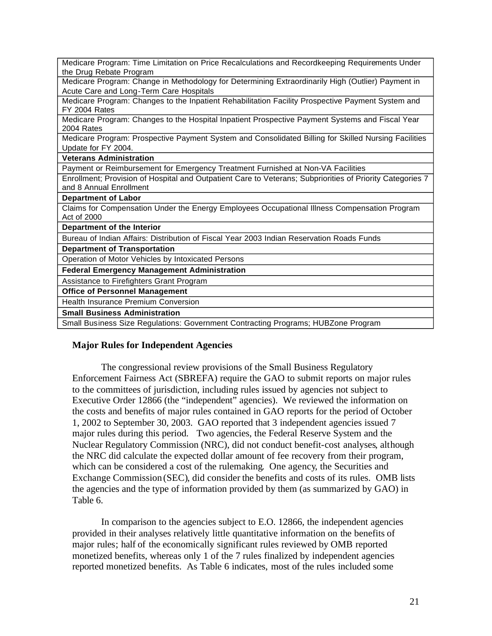| Medicare Program: Time Limitation on Price Recalculations and Recordkeeping Requirements Under<br>the Drug Rebate Program |
|---------------------------------------------------------------------------------------------------------------------------|
|                                                                                                                           |
| Medicare Program: Change in Methodology for Determining Extraordinarily High (Outlier) Payment in                         |
| Acute Care and Long-Term Care Hospitals                                                                                   |
| Medicare Program: Changes to the Inpatient Rehabilitation Facility Prospective Payment System and                         |
| FY 2004 Rates                                                                                                             |
| Medicare Program: Changes to the Hospital Inpatient Prospective Payment Systems and Fiscal Year                           |
| 2004 Rates                                                                                                                |
| Medicare Program: Prospective Payment System and Consolidated Billing for Skilled Nursing Facilities                      |
| Update for FY 2004.                                                                                                       |
| <b>Veterans Administration</b>                                                                                            |
| Payment or Reimbursement for Emergency Treatment Furnished at Non-VA Facilities                                           |
| Enrollment; Provision of Hospital and Outpatient Care to Veterans; Subpriorities of Priority Categories 7                 |
| and 8 Annual Enrollment                                                                                                   |
|                                                                                                                           |
| <b>Department of Labor</b>                                                                                                |
|                                                                                                                           |
| Claims for Compensation Under the Energy Employees Occupational Illness Compensation Program<br>Act of 2000               |
| Department of the Interior                                                                                                |
| Bureau of Indian Affairs: Distribution of Fiscal Year 2003 Indian Reservation Roads Funds                                 |
| <b>Department of Transportation</b>                                                                                       |
| Operation of Motor Vehicles by Intoxicated Persons                                                                        |
| <b>Federal Emergency Management Administration</b>                                                                        |
| Assistance to Firefighters Grant Program                                                                                  |
| <b>Office of Personnel Management</b>                                                                                     |
| <b>Health Insurance Premium Conversion</b>                                                                                |
| <b>Small Business Administration</b>                                                                                      |
| Small Business Size Regulations: Government Contracting Programs; HUBZone Program                                         |

## **Major Rules for Independent Agencies**

The congressional review provisions of the Small Business Regulatory Enforcement Fairness Act (SBREFA) require the GAO to submit reports on major rules to the committees of jurisdiction, including rules issued by agencies not subject to Executive Order 12866 (the "independent" agencies). We reviewed the information on the costs and benefits of major rules contained in GAO reports for the period of October 1, 2002 to September 30, 2003. GAO reported that 3 independent agencies issued 7 major rules during this period. Two agencies, the Federal Reserve System and the Nuclear Regulatory Commission (NRC), did not conduct benefit-cost analyses, although the NRC did calculate the expected dollar amount of fee recovery from their program, which can be considered a cost of the rulemaking. One agency, the Securities and Exchange Commission (SEC), did consider the benefits and costs of its rules. OMB lists the agencies and the type of information provided by them (as summarized by GAO) in Table 6.

In comparison to the agencies subject to E.O. 12866, the independent agencies provided in their analyses relatively little quantitative information on the benefits of major rules; half of the economically significant rules reviewed by OMB reported monetized benefits, whereas only 1 of the 7 rules finalized by independent agencies reported monetized benefits. As Table 6 indicates, most of the rules included some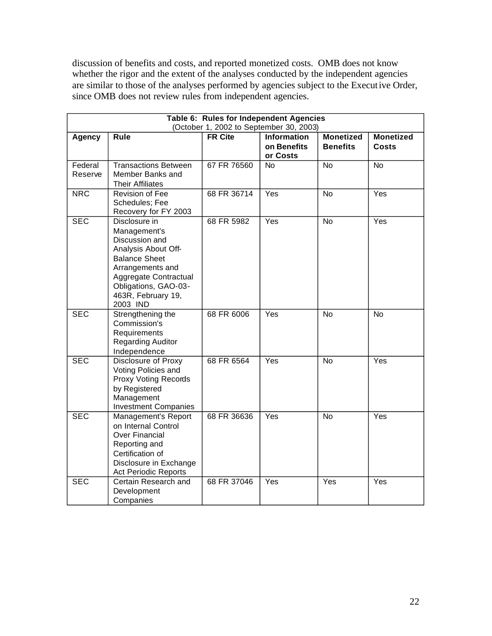discussion of benefits and costs, and reported monetized costs. OMB does not know whether the rigor and the extent of the analyses conducted by the independent agencies are similar to those of the analyses performed by agencies subject to the Execut ive Order, since OMB does not review rules from independent agencies.

| Table 6: Rules for Independent Agencies<br>(October 1, 2002 to September 30, 2003) |                                                                                                                                                                                                       |                |                                               |                                     |                                  |  |  |  |
|------------------------------------------------------------------------------------|-------------------------------------------------------------------------------------------------------------------------------------------------------------------------------------------------------|----------------|-----------------------------------------------|-------------------------------------|----------------------------------|--|--|--|
| <b>Agency</b>                                                                      | <b>Rule</b>                                                                                                                                                                                           | <b>FR Cite</b> | <b>Information</b><br>on Benefits<br>or Costs | <b>Monetized</b><br><b>Benefits</b> | <b>Monetized</b><br><b>Costs</b> |  |  |  |
| Federal<br>Reserve                                                                 | <b>Transactions Between</b><br>Member Banks and<br><b>Their Affiliates</b>                                                                                                                            | 67 FR 76560    | <b>No</b>                                     | <b>No</b>                           | $\overline{N}$                   |  |  |  |
| <b>NRC</b>                                                                         | <b>Revision of Fee</b><br>Schedules; Fee<br>Recovery for FY 2003                                                                                                                                      | 68 FR 36714    | Yes                                           | <b>No</b>                           | Yes                              |  |  |  |
| <b>SEC</b>                                                                         | Disclosure in<br>Management's<br>Discussion and<br>Analysis About Off-<br><b>Balance Sheet</b><br>Arrangements and<br>Aggregate Contractual<br>Obligations, GAO-03-<br>463R, February 19,<br>2003 IND | 68 FR 5982     | Yes                                           | <b>No</b>                           | Yes                              |  |  |  |
| <b>SEC</b>                                                                         | Strengthening the<br>Commission's<br>Requirements<br><b>Regarding Auditor</b><br>Independence                                                                                                         | 68 FR 6006     | Yes                                           | <b>No</b>                           | <b>No</b>                        |  |  |  |
| <b>SEC</b>                                                                         | <b>Disclosure of Proxy</b><br>Voting Policies and<br><b>Proxy Voting Records</b><br>by Registered<br>Management<br><b>Investment Companies</b>                                                        | 68 FR 6564     | Yes                                           | <b>No</b>                           | Yes                              |  |  |  |
| <b>SEC</b>                                                                         | Management's Report<br>on Internal Control<br><b>Over Financial</b><br>Reporting and<br>Certification of<br>Disclosure in Exchange<br><b>Act Periodic Reports</b>                                     | 68 FR 36636    | Yes                                           | <b>No</b>                           | Yes                              |  |  |  |
| <b>SEC</b>                                                                         | Certain Research and<br>Development<br>Companies                                                                                                                                                      | 68 FR 37046    | Yes                                           | Yes                                 | Yes                              |  |  |  |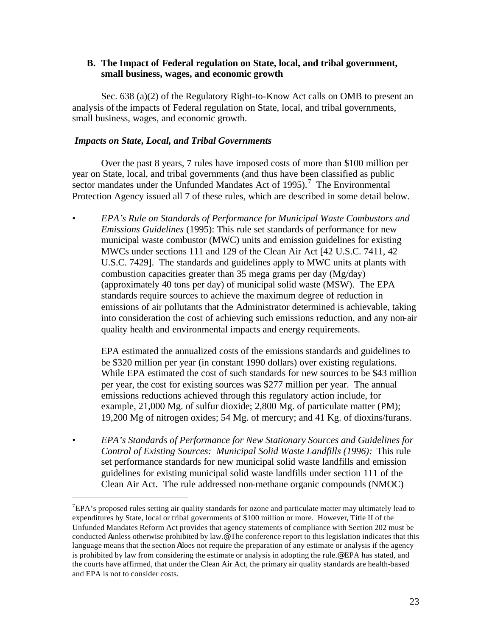# **B. The Impact of Federal regulation on State, local, and tribal government, small business, wages, and economic growth**

Sec. 638 (a)(2) of the Regulatory Right-to-Know Act calls on OMB to present an analysis of the impacts of Federal regulation on State, local, and tribal governments, small business, wages, and economic growth.

## *Impacts on State, Local, and Tribal Governments*

Over the past 8 years, 7 rules have imposed costs of more than \$100 million per year on State, local, and tribal governments (and thus have been classified as public sector mandates under the Unfunded Mandates Act of  $1995$ ).<sup>7</sup> The Environmental Protection Agency issued all 7 of these rules, which are described in some detail below.

• *EPA's Rule on Standards of Performance for Municipal Waste Combustors and Emissions Guidelines* (1995): This rule set standards of performance for new municipal waste combustor (MWC) units and emission guidelines for existing MWCs under sections 111 and 129 of the Clean Air Act [42 U.S.C. 7411, 42 U.S.C. 7429]. The standards and guidelines apply to MWC units at plants with combustion capacities greater than 35 mega grams per day (Mg/day) (approximately 40 tons per day) of municipal solid waste (MSW). The EPA standards require sources to achieve the maximum degree of reduction in emissions of air pollutants that the Administrator determined is achievable, taking into consideration the cost of achieving such emissions reduction, and any non-air quality health and environmental impacts and energy requirements.

EPA estimated the annualized costs of the emissions standards and guidelines to be \$320 million per year (in constant 1990 dollars) over existing regulations. While EPA estimated the cost of such standards for new sources to be \$43 million per year, the cost for existing sources was \$277 million per year. The annual emissions reductions achieved through this regulatory action include, for example, 21,000 Mg. of sulfur dioxide; 2,800 Mg. of particulate matter (PM); 19,200 Mg of nitrogen oxides; 54 Mg. of mercury; and 41 Kg. of dioxins/furans.

• *EPA's Standards of Performance for New Stationary Sources and Guidelines for Control of Existing Sources: Municipal Solid Waste Landfills (1996):* This rule set performance standards for new municipal solid waste landfills and emission guidelines for existing municipal solid waste landfills under section 111 of the Clean Air Act. The rule addressed non-methane organic compounds (NMOC)

 $7$ EPA's proposed rules setting air quality standards for ozone and particulate matter may ultimately lead to expenditures by State, local or tribal governments of \$100 million or more. However, Title II of the Unfunded Mandates Reform Act provides that agency statements of compliance with Section 202 must be conducted Aunless otherwise prohibited by law.@ The conference report to this legislation indicates that this language means that the section Adoes not require the preparation of any estimate or analysis if the agency is prohibited by law from considering the estimate or analysis in adopting the rule.@ EPA has stated, and the courts have affirmed, that under the Clean Air Act, the primary air quality standards are health-based and EPA is not to consider costs.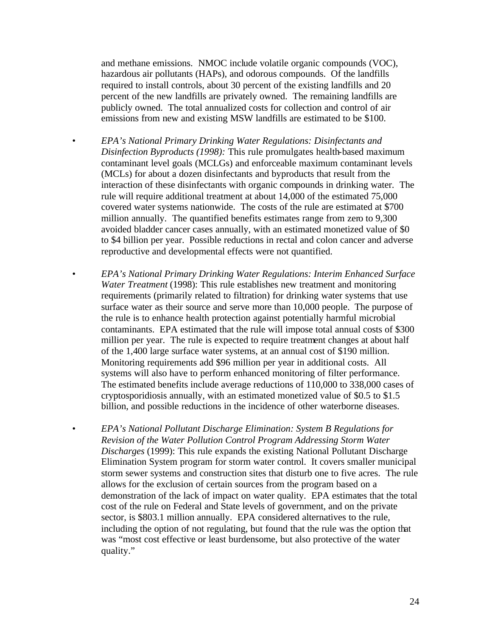and methane emissions. NMOC include volatile organic compounds (VOC), hazardous air pollutants (HAPs), and odorous compounds. Of the landfills required to install controls, about 30 percent of the existing landfills and 20 percent of the new landfills are privately owned. The remaining landfills are publicly owned. The total annualized costs for collection and control of air emissions from new and existing MSW landfills are estimated to be \$100.

- *EPA's National Primary Drinking Water Regulations: Disinfectants and Disinfection Byproducts (1998):* This rule promulgates health-based maximum contaminant level goals (MCLGs) and enforceable maximum contaminant levels (MCLs) for about a dozen disinfectants and byproducts that result from the interaction of these disinfectants with organic compounds in drinking water. The rule will require additional treatment at about 14,000 of the estimated 75,000 covered water systems nationwide. The costs of the rule are estimated at \$700 million annually. The quantified benefits estimates range from zero to 9,300 avoided bladder cancer cases annually, with an estimated monetized value of \$0 to \$4 billion per year. Possible reductions in rectal and colon cancer and adverse reproductive and developmental effects were not quantified.
	- *EPA's National Primary Drinking Water Regulations: Interim Enhanced Surface Water Treatment* (1998): This rule establishes new treatment and monitoring requirements (primarily related to filtration) for drinking water systems that use surface water as their source and serve more than 10,000 people. The purpose of the rule is to enhance health protection against potentially harmful microbial contaminants. EPA estimated that the rule will impose total annual costs of \$300 million per year. The rule is expected to require treatment changes at about half of the 1,400 large surface water systems, at an annual cost of \$190 million. Monitoring requirements add \$96 million per year in additional costs. All systems will also have to perform enhanced monitoring of filter performance. The estimated benefits include average reductions of 110,000 to 338,000 cases of cryptosporidiosis annually, with an estimated monetized value of \$0.5 to \$1.5 billion, and possible reductions in the incidence of other waterborne diseases.
- *EPA's National Pollutant Discharge Elimination: System B Regulations for Revision of the Water Pollution Control Program Addressing Storm Water Discharges* (1999): This rule expands the existing National Pollutant Discharge Elimination System program for storm water control. It covers smaller municipal storm sewer systems and construction sites that disturb one to five acres. The rule allows for the exclusion of certain sources from the program based on a demonstration of the lack of impact on water quality. EPA estimates that the total cost of the rule on Federal and State levels of government, and on the private sector, is \$803.1 million annually. EPA considered alternatives to the rule, including the option of not regulating, but found that the rule was the option that was "most cost effective or least burdensome, but also protective of the water quality."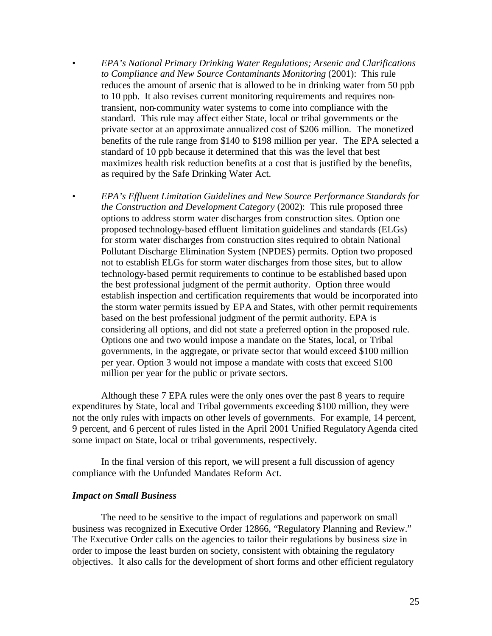- *EPA's National Primary Drinking Water Regulations; Arsenic and Clarifications to Compliance and New Source Contaminants Monitoring* (2001): This rule reduces the amount of arsenic that is allowed to be in drinking water from 50 ppb to 10 ppb. It also revises current monitoring requirements and requires nontransient, non-community water systems to come into compliance with the standard. This rule may affect either State, local or tribal governments or the private sector at an approximate annualized cost of \$206 million. The monetized benefits of the rule range from \$140 to \$198 million per year. The EPA selected a standard of 10 ppb because it determined that this was the level that best maximizes health risk reduction benefits at a cost that is justified by the benefits, as required by the Safe Drinking Water Act.
- *EPA's Effluent Limitation Guidelines and New Source Performance Standards for the Construction and Development Category* (2002): This rule proposed three options to address storm water discharges from construction sites. Option one proposed technology-based effluent limitation guidelines and standards (ELGs) for storm water discharges from construction sites required to obtain National Pollutant Discharge Elimination System (NPDES) permits. Option two proposed not to establish ELGs for storm water discharges from those sites, but to allow technology-based permit requirements to continue to be established based upon the best professional judgment of the permit authority. Option three would establish inspection and certification requirements that would be incorporated into the storm water permits issued by EPA and States, with other permit requirements based on the best professional judgment of the permit authority. EPA is considering all options, and did not state a preferred option in the proposed rule. Options one and two would impose a mandate on the States, local, or Tribal governments, in the aggregate, or private sector that would exceed \$100 million per year. Option 3 would not impose a mandate with costs that exceed \$100 million per year for the public or private sectors.

Although these 7 EPA rules were the only ones over the past 8 years to require expenditures by State, local and Tribal governments exceeding \$100 million, they were not the only rules with impacts on other levels of governments. For example, 14 percent, 9 percent, and 6 percent of rules listed in the April 2001 Unified Regulatory Agenda cited some impact on State, local or tribal governments, respectively.

In the final version of this report, we will present a full discussion of agency compliance with the Unfunded Mandates Reform Act.

## *Impact on Small Business*

The need to be sensitive to the impact of regulations and paperwork on small business was recognized in Executive Order 12866, "Regulatory Planning and Review." The Executive Order calls on the agencies to tailor their regulations by business size in order to impose the least burden on society, consistent with obtaining the regulatory objectives. It also calls for the development of short forms and other efficient regulatory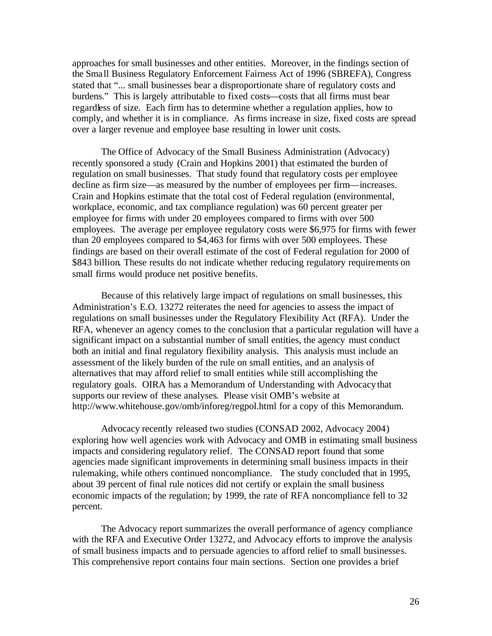approaches for small businesses and other entities. Moreover, in the findings section of the Sma ll Business Regulatory Enforcement Fairness Act of 1996 (SBREFA), Congress stated that "... small businesses bear a disproportionate share of regulatory costs and burdens." This is largely attributable to fixed costs—costs that all firms must bear regardless of size. Each firm has to determine whether a regulation applies, how to comply, and whether it is in compliance. As firms increase in size, fixed costs are spread over a larger revenue and employee base resulting in lower unit costs.

The Office of Advocacy of the Small Business Administration (Advocacy) recently sponsored a study (Crain and Hopkins 2001) that estimated the burden of regulation on small businesses. That study found that regulatory costs per employee decline as firm size—as measured by the number of employees per firm—increases. Crain and Hopkins estimate that the total cost of Federal regulation (environmental, workplace, economic, and tax compliance regulation) was 60 percent greater per employee for firms with under 20 employees compared to firms with over 500 employees. The average per employee regulatory costs were \$6,975 for firms with fewer than 20 employees compared to \$4,463 for firms with over 500 employees. These findings are based on their overall estimate of the cost of Federal regulation for 2000 of \$843 billion. These results do not indicate whether reducing regulatory requirements on small firms would produce net positive benefits.

Because of this relatively large impact of regulations on small businesses, this Administration's E.O. 13272 reiterates the need for agencies to assess the impact of regulations on small businesses under the Regulatory Flexibility Act (RFA). Under the RFA, whenever an agency comes to the conclusion that a particular regulation will have a significant impact on a substantial number of small entities, the agency must conduct both an initial and final regulatory flexibility analysis. This analysis must include an assessment of the likely burden of the rule on small entities, and an analysis of alternatives that may afford relief to small entities while still accomplishing the regulatory goals. OIRA has a Memorandum of Understanding with Advocacy that supports our review of these analyses. Please visit OMB's website at http://www.whitehouse.gov/omb/inforeg/regpol.html for a copy of this Memorandum.

Advocacy recently released two studies (CONSAD 2002, Advocacy 2004) exploring how well agencies work with Advocacy and OMB in estimating small business impacts and considering regulatory relief. The CONSAD report found that some agencies made significant improvements in determining small business impacts in their rulemaking, while others continued noncompliance. The study concluded that in 1995, about 39 percent of final rule notices did not certify or explain the small business economic impacts of the regulation; by 1999, the rate of RFA noncompliance fell to 32 percent.

The Advocacy report summarizes the overall performance of agency compliance with the RFA and Executive Order 13272, and Advocacy efforts to improve the analysis of small business impacts and to persuade agencies to afford relief to small businesses. This comprehensive report contains four main sections. Section one provides a brief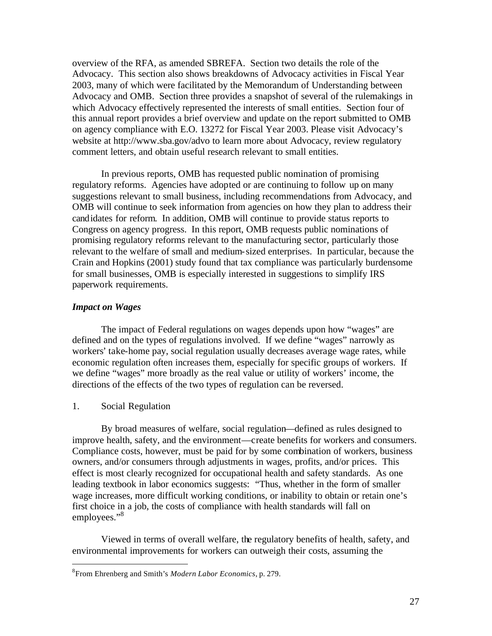overview of the RFA, as amended SBREFA. Section two details the role of the Advocacy. This section also shows breakdowns of Advocacy activities in Fiscal Year 2003, many of which were facilitated by the Memorandum of Understanding between Advocacy and OMB. Section three provides a snapshot of several of the rulemakings in which Advocacy effectively represented the interests of small entities. Section four of this annual report provides a brief overview and update on the report submitted to OMB on agency compliance with E.O. 13272 for Fiscal Year 2003. Please visit Advocacy's website at http://www.sba.gov/advo to learn more about Advocacy, review regulatory comment letters, and obtain useful research relevant to small entities.

In previous reports, OMB has requested public nomination of promising regulatory reforms. Agencies have adopted or are continuing to follow up on many suggestions relevant to small business, including recommendations from Advocacy, and OMB will continue to seek information from agencies on how they plan to address their cand idates for reform. In addition, OMB will continue to provide status reports to Congress on agency progress. In this report, OMB requests public nominations of promising regulatory reforms relevant to the manufacturing sector, particularly those relevant to the welfare of small and medium-sized enterprises. In particular, because the Crain and Hopkins (2001) study found that tax compliance was particularly burdensome for small businesses, OMB is especially interested in suggestions to simplify IRS paperwork requirements.

## *Impact on Wages*

The impact of Federal regulations on wages depends upon how "wages" are defined and on the types of regulations involved. If we define "wages" narrowly as workers' take-home pay, social regulation usually decreases average wage rates, while economic regulation often increases them, especially for specific groups of workers. If we define "wages" more broadly as the real value or utility of workers' income, the directions of the effects of the two types of regulation can be reversed.

## 1. Social Regulation

By broad measures of welfare, social regulation—defined as rules designed to improve health, safety, and the environment—create benefits for workers and consumers. Compliance costs, however, must be paid for by some combination of workers, business owners, and/or consumers through adjustments in wages, profits, and/or prices. This effect is most clearly recognized for occupational health and safety standards. As one leading textbook in labor economics suggests: "Thus, whether in the form of smaller wage increases, more difficult working conditions, or inability to obtain or retain one's first choice in a job, the costs of compliance with health standards will fall on employees."<sup>8</sup>

Viewed in terms of overall welfare, the regulatory benefits of health, safety, and environmental improvements for workers can outweigh their costs, assuming the

<sup>8</sup> From Ehrenberg and Smith's *Modern Labor Economics*, p. 279.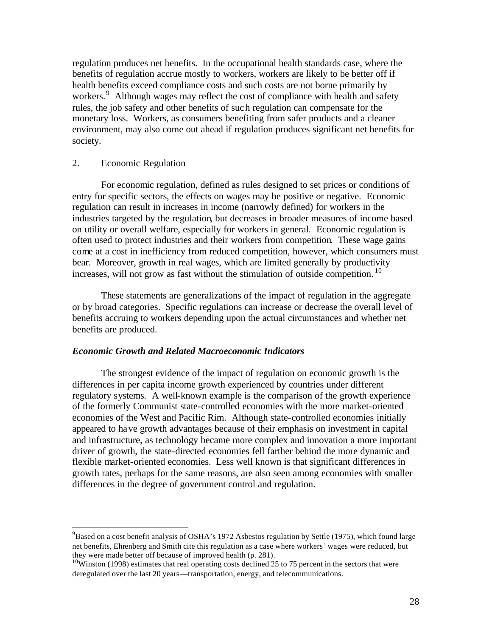regulation produces net benefits. In the occupational health standards case, where the benefits of regulation accrue mostly to workers, workers are likely to be better off if health benefits exceed compliance costs and such costs are not borne primarily by workers.<sup>9</sup> Although wages may reflect the cost of compliance with health and safety rules, the job safety and other benefits of suc h regulation can compensate for the monetary loss. Workers, as consumers benefiting from safer products and a cleaner environment, may also come out ahead if regulation produces significant net benefits for society.

## 2. Economic Regulation

For economic regulation, defined as rules designed to set prices or conditions of entry for specific sectors, the effects on wages may be positive or negative. Economic regulation can result in increases in income (narrowly defined) for workers in the industries targeted by the regulation, but decreases in broader measures of income based on utility or overall welfare, especially for workers in general. Economic regulation is often used to protect industries and their workers from competition. These wage gains come at a cost in inefficiency from reduced competition, however, which consumers must bear. Moreover, growth in real wages, which are limited generally by productivity increases, will not grow as fast without the stimulation of outside competition.  $10$ 

These statements are generalizations of the impact of regulation in the aggregate or by broad categories. Specific regulations can increase or decrease the overall level of benefits accruing to workers depending upon the actual circumstances and whether net benefits are produced.

#### *Economic Growth and Related Macroeconomic Indicators*

The strongest evidence of the impact of regulation on economic growth is the differences in per capita income growth experienced by countries under different regulatory systems. A well-known example is the comparison of the growth experience of the formerly Communist state-controlled economies with the more market-oriented economies of the West and Pacific Rim. Although state-controlled economies initially appeared to ha ve growth advantages because of their emphasis on investment in capital and infrastructure, as technology became more complex and innovation a more important driver of growth, the state-directed economies fell farther behind the more dynamic and flexible market-oriented economies. Less well known is that significant differences in growth rates, perhaps for the same reasons, are also seen among economies with smaller differences in the degree of government control and regulation.

 $^{9}$ Based on a cost benefit analysis of OSHA's 1972 Asbestos regulation by Settle (1975), which found large net benefits, Ehrenberg and Smith cite this regulation as a case where workers ' wages were reduced, but they were made better off because of improved health (p. 281).

<sup>&</sup>lt;sup>10</sup>Winston (1998) estimates that real operating costs declined 25 to 75 percent in the sectors that were deregulated over the last 20 years—transportation, energy, and telecommunications.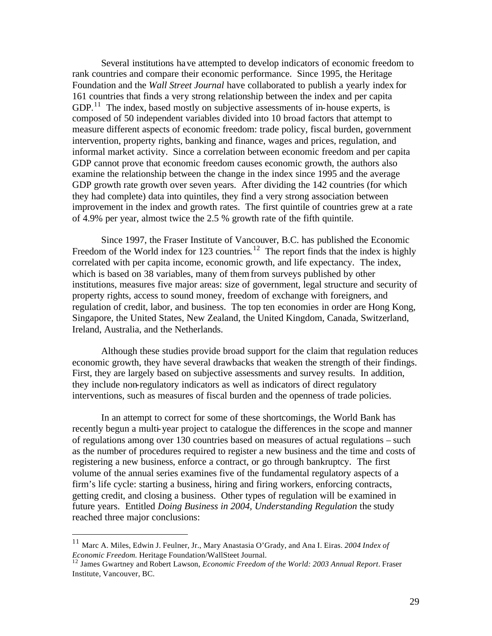Several institutions ha ve attempted to develop indicators of economic freedom to rank countries and compare their economic performance. Since 1995, the Heritage Foundation and the *Wall Street Journal* have collaborated to publish a yearly index for 161 countries that finds a very strong relationship between the index and per capita  $GDP<sup>11</sup>$ . The index, based mostly on subjective assessments of in-house experts, is composed of 50 independent variables divided into 10 broad factors that attempt to measure different aspects of economic freedom: trade policy, fiscal burden, government intervention, property rights, banking and finance, wages and prices, regulation, and informal market activity. Since a correlation between economic freedom and per capita GDP cannot prove that economic freedom causes economic growth, the authors also examine the relationship between the change in the index since 1995 and the average GDP growth rate growth over seven years. After dividing the 142 countries (for which they had complete) data into quintiles, they find a very strong association between improvement in the index and growth rates. The first quintile of countries grew at a rate of 4.9% per year, almost twice the 2.5 % growth rate of the fifth quintile.

Since 1997, the Fraser Institute of Vancouver, B.C. has published the Economic Freedom of the World index for 123 countries.<sup>12</sup> The report finds that the index is highly correlated with per capita income, economic growth, and life expectancy. The index, which is based on 38 variables, many of them from surveys published by other institutions, measures five major areas: size of government, legal structure and security of property rights, access to sound money, freedom of exchange with foreigners, and regulation of credit, labor, and business. The top ten economies in order are Hong Kong, Singapore, the United States, New Zealand, the United Kingdom, Canada, Switzerland, Ireland, Australia, and the Netherlands.

Although these studies provide broad support for the claim that regulation reduces economic growth, they have several drawbacks that weaken the strength of their findings. First, they are largely based on subjective assessments and survey results. In addition, they include non-regulatory indicators as well as indicators of direct regulatory interventions, such as measures of fiscal burden and the openness of trade policies.

In an attempt to correct for some of these shortcomings, the World Bank has recently begun a multi-year project to catalogue the differences in the scope and manner of regulations among over 130 countries based on measures of actual regulations – such as the number of procedures required to register a new business and the time and costs of registering a new business, enforce a contract, or go through bankruptcy. The first volume of the annual series examines five of the fundamental regulatory aspects of a firm's life cycle: starting a business, hiring and firing workers, enforcing contracts, getting credit, and closing a business. Other types of regulation will be examined in future years. Entitled *Doing Business in 2004, Understanding Regulation* the study reached three major conclusions:

<sup>11</sup> Marc A. Miles, Edwin J. Feulner, Jr., Mary Anastasia O'Grady, and Ana I. Eiras. *2004 Index of Economic Freedom.* Heritage Foundation/WallSteet Journal.

<sup>12</sup> James Gwartney and Robert Lawson, *Economic Freedom of the World: 2003 Annual Report*. Fraser Institute, Vancouver, BC.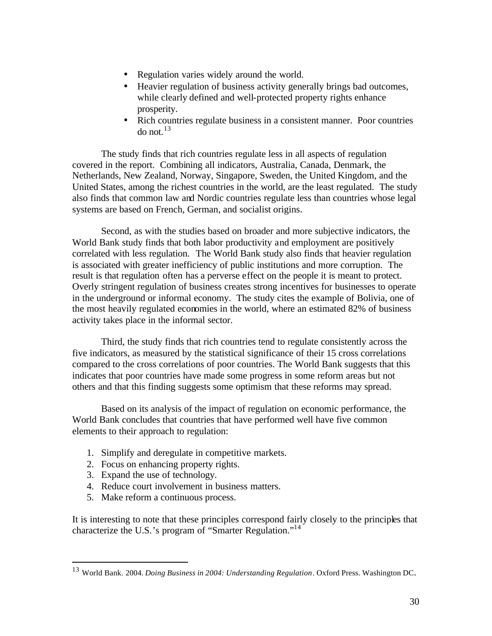- Regulation varies widely around the world.
- Heavier regulation of business activity generally brings bad outcomes, while clearly defined and well-protected property rights enhance prosperity.
- Rich countries regulate business in a consistent manner. Poor countries do not. $13$

The study finds that rich countries regulate less in all aspects of regulation covered in the report. Combining all indicators, Australia, Canada, Denmark, the Netherlands, New Zealand, Norway, Singapore, Sweden, the United Kingdom, and the United States, among the richest countries in the world, are the least regulated. The study also finds that common law and Nordic countries regulate less than countries whose legal systems are based on French, German, and socialist origins.

Second, as with the studies based on broader and more subjective indicators, the World Bank study finds that both labor productivity and employment are positively correlated with less regulation. The World Bank study also finds that heavier regulation is associated with greater inefficiency of public institutions and more corruption. The result is that regulation often has a perverse effect on the people it is meant to protect. Overly stringent regulation of business creates strong incentives for businesses to operate in the underground or informal economy. The study cites the example of Bolivia, one of the most heavily regulated economies in the world, where an estimated 82% of business activity takes place in the informal sector.

Third, the study finds that rich countries tend to regulate consistently across the five indicators, as measured by the statistical significance of their 15 cross correlations compared to the cross correlations of poor countries. The World Bank suggests that this indicates that poor countries have made some progress in some reform areas but not others and that this finding suggests some optimism that these reforms may spread.

Based on its analysis of the impact of regulation on economic performance, the World Bank concludes that countries that have performed well have five common elements to their approach to regulation:

- 1. Simplify and deregulate in competitive markets.
- 2. Focus on enhancing property rights.
- 3. Expand the use of technology.
- 4. Reduce court involvement in business matters.
- 5. Make reform a continuous process.

It is interesting to note that these principles correspond fairly closely to the principles that characterize the U.S.'s program of "Smarter Regulation."<sup>14</sup>

<sup>13</sup> World Bank. 2004. *Doing Business in 2004: Understanding Regulation*. Oxford Press. Washington DC.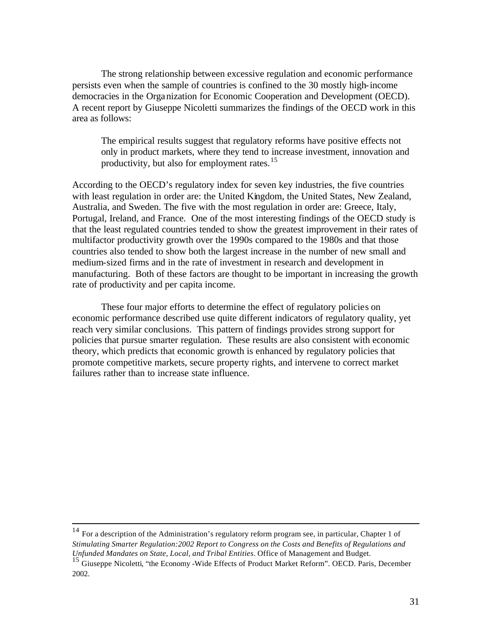The strong relationship between excessive regulation and economic performance persists even when the sample of countries is confined to the 30 mostly high-income democracies in the Orga nization for Economic Cooperation and Development (OECD). A recent report by Giuseppe Nicoletti summarizes the findings of the OECD work in this area as follows:

The empirical results suggest that regulatory reforms have positive effects not only in product markets, where they tend to increase investment, innovation and productivity, but also for employment rates.<sup>15</sup>

According to the OECD's regulatory index for seven key industries, the five countries with least regulation in order are: the United Kingdom, the United States, New Zealand, Australia, and Sweden. The five with the most regulation in order are: Greece, Italy, Portugal, Ireland, and France. One of the most interesting findings of the OECD study is that the least regulated countries tended to show the greatest improvement in their rates of multifactor productivity growth over the 1990s compared to the 1980s and that those countries also tended to show both the largest increase in the number of new small and medium-sized firms and in the rate of investment in research and development in manufacturing. Both of these factors are thought to be important in increasing the growth rate of productivity and per capita income.

These four major efforts to determine the effect of regulatory policies on economic performance described use quite different indicators of regulatory quality, yet reach very similar conclusions. This pattern of findings provides strong support for policies that pursue smarter regulation. These results are also consistent with economic theory, which predicts that economic growth is enhanced by regulatory policies that promote competitive markets, secure property rights, and intervene to correct market failures rather than to increase state influence.

<sup>14</sup> For a description of the Administration's regulatory reform program see, in particular, Chapter 1 of *Stimulating Smarter Regulation:2002 Report to Congress on the Costs and Benefits of Regulations and Unfunded Mandates on State, Local, and Tribal Entities*. Office of Management and Budget. 15 Giuseppe Nicoletti, "the Economy -Wide Effects of Product Market Reform". OECD. Paris, December

<sup>2002.</sup>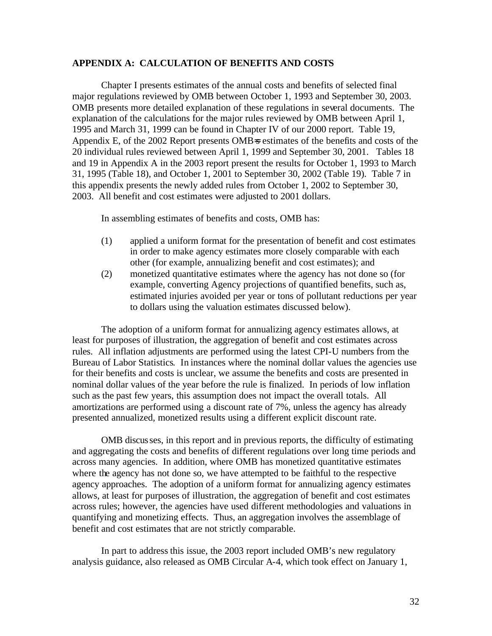## **APPENDIX A: CALCULATION OF BENEFITS AND COSTS**

Chapter I presents estimates of the annual costs and benefits of selected final major regulations reviewed by OMB between October 1, 1993 and September 30, 2003. OMB presents more detailed explanation of these regulations in several documents. The explanation of the calculations for the major rules reviewed by OMB between April 1, 1995 and March 31, 1999 can be found in Chapter IV of our 2000 report. Table 19, Appendix E, of the 2002 Report presents OMB=s estimates of the benefits and costs of the 20 individual rules reviewed between April 1, 1999 and September 30, 2001. Tables 18 and 19 in Appendix A in the 2003 report present the results for October 1, 1993 to March 31, 1995 (Table 18), and October 1, 2001 to September 30, 2002 (Table 19). Table 7 in this appendix presents the newly added rules from October 1, 2002 to September 30, 2003. All benefit and cost estimates were adjusted to 2001 dollars.

In assembling estimates of benefits and costs, OMB has:

- (1) applied a uniform format for the presentation of benefit and cost estimates in order to make agency estimates more closely comparable with each other (for example, annualizing benefit and cost estimates); and
- (2) monetized quantitative estimates where the agency has not done so (for example, converting Agency projections of quantified benefits, such as, estimated injuries avoided per year or tons of pollutant reductions per year to dollars using the valuation estimates discussed below).

The adoption of a uniform format for annualizing agency estimates allows, at least for purposes of illustration, the aggregation of benefit and cost estimates across rules. All inflation adjustments are performed using the latest CPI-U numbers from the Bureau of Labor Statistics. In instances where the nominal dollar values the agencies use for their benefits and costs is unclear, we assume the benefits and costs are presented in nominal dollar values of the year before the rule is finalized. In periods of low inflation such as the past few years, this assumption does not impact the overall totals. All amortizations are performed using a discount rate of 7%, unless the agency has already presented annualized, monetized results using a different explicit discount rate.

OMB discus ses, in this report and in previous reports, the difficulty of estimating and aggregating the costs and benefits of different regulations over long time periods and across many agencies. In addition, where OMB has monetized quantitative estimates where the agency has not done so, we have attempted to be faithful to the respective agency approaches. The adoption of a uniform format for annualizing agency estimates allows, at least for purposes of illustration, the aggregation of benefit and cost estimates across rules; however, the agencies have used different methodologies and valuations in quantifying and monetizing effects. Thus, an aggregation involves the assemblage of benefit and cost estimates that are not strictly comparable.

In part to address this issue, the 2003 report included OMB's new regulatory analysis guidance, also released as OMB Circular A-4, which took effect on January 1,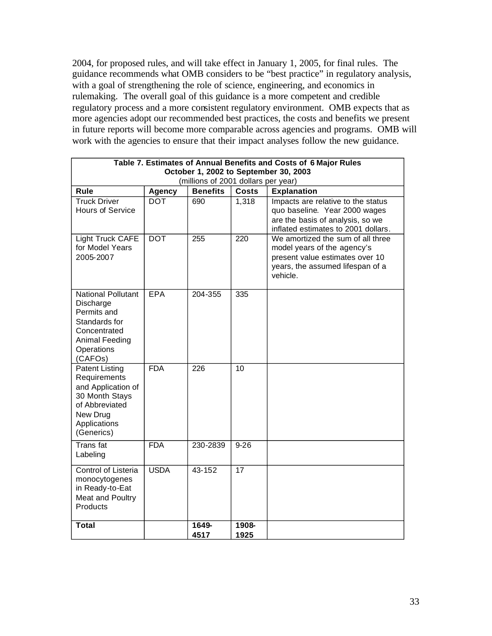2004, for proposed rules, and will take effect in January 1, 2005, for final rules. The guidance recommends what OMB considers to be "best practice" in regulatory analysis, with a goal of strengthening the role of science, engineering, and economics in rulemaking. The overall goal of this guidance is a more competent and credible regulatory process and a more consistent regulatory environment. OMB expects that as more agencies adopt our recommended best practices, the costs and benefits we present in future reports will become more comparable across agencies and programs. OMB will work with the agencies to ensure that their impact analyses follow the new guidance.

| Table 7. Estimates of Annual Benefits and Costs of 6 Major Rules                                                                          |             |               |               |                                                                                                                                                     |  |  |  |
|-------------------------------------------------------------------------------------------------------------------------------------------|-------------|---------------|---------------|-----------------------------------------------------------------------------------------------------------------------------------------------------|--|--|--|
| October 1, 2002 to September 30, 2003<br>(millions of 2001 dollars per year)                                                              |             |               |               |                                                                                                                                                     |  |  |  |
| <b>Benefits</b><br><b>Costs</b><br>Rule<br><b>Agency</b><br><b>Explanation</b>                                                            |             |               |               |                                                                                                                                                     |  |  |  |
| <b>Truck Driver</b><br>Hours of Service                                                                                                   | <b>DOT</b>  | 690           | 1,318         | Impacts are relative to the status<br>quo baseline. Year 2000 wages<br>are the basis of analysis, so we<br>inflated estimates to 2001 dollars.      |  |  |  |
| Light Truck CAFE<br>for Model Years<br>2005-2007                                                                                          | <b>DOT</b>  | 255           | 220           | We amortized the sum of all three<br>model years of the agency's<br>present value estimates over 10<br>years, the assumed lifespan of a<br>vehicle. |  |  |  |
| <b>National Pollutant</b><br>Discharge<br>Permits and<br>Standards for<br>Concentrated<br>Animal Feeding<br>Operations<br>(CAFOs)         | EPA         | 204-355       | 335           |                                                                                                                                                     |  |  |  |
| <b>Patent Listing</b><br>Requirements<br>and Application of<br>30 Month Stays<br>of Abbreviated<br>New Drug<br>Applications<br>(Generics) | <b>FDA</b>  | 226           | 10            |                                                                                                                                                     |  |  |  |
| <b>Trans</b> fat<br>Labeling                                                                                                              | <b>FDA</b>  | 230-2839      | $9 - 26$      |                                                                                                                                                     |  |  |  |
| Control of Listeria<br>monocytogenes<br>in Ready-to-Eat<br>Meat and Poultry<br>Products                                                   | <b>USDA</b> | 43-152        | 17            |                                                                                                                                                     |  |  |  |
| <b>Total</b>                                                                                                                              |             | 1649-<br>4517 | 1908-<br>1925 |                                                                                                                                                     |  |  |  |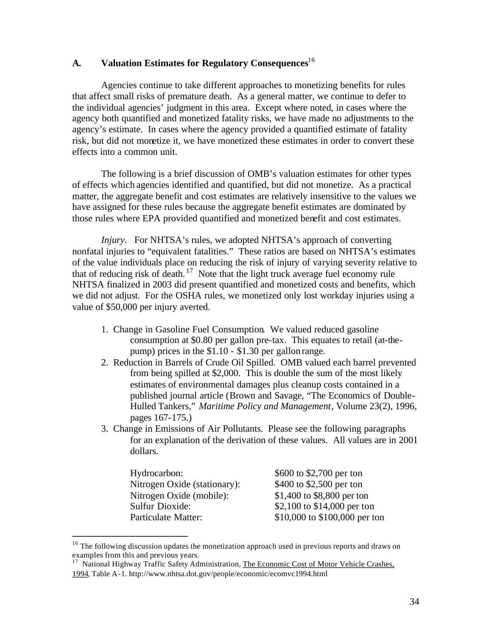# **A. Valuation Estimates for Regulatory Consequences**<sup>16</sup>

Agencies continue to take different approaches to monetizing benefits for rules that affect small risks of premature death. As a general matter, we continue to defer to the individual agencies' judgment in this area. Except where noted, in cases where the agency both quantified and monetized fatality risks, we have made no adjustments to the agency's estimate. In cases where the agency provided a quantified estimate of fatality risk, but did not monetize it, we have monetized these estimates in order to convert these effects into a common unit.

The following is a brief discussion of OMB's valuation estimates for other types of effects which agencies identified and quantified, but did not monetize. As a practical matter, the aggregate benefit and cost estimates are relatively insensitive to the values we have assigned for these rules because the aggregate benefit estimates are dominated by those rules where EPA provided quantified and monetized benefit and cost estimates.

*Injury.* For NHTSA's rules, we adopted NHTSA's approach of converting nonfatal injuries to "equivalent fatalities." These ratios are based on NHTSA's estimates of the value individuals place on reducing the risk of injury of varying severity relative to that of reducing risk of death.  $17$  Note that the light truck average fuel economy rule NHTSA finalized in 2003 did present quantified and monetized costs and benefits, which we did not adjust. For the OSHA rules, we monetized only lost workday injuries using a value of \$50,000 per injury averted.

- 1. Change in Gasoline Fuel Consumption. We valued reduced gasoline consumption at \$0.80 per gallon pre-tax. This equates to retail (at-thepump) prices in the \$1.10 - \$1.30 per gallon range.
- 2. Reduction in Barrels of Crude Oil Spilled. OMB valued each barrel prevented from being spilled at \$2,000. This is double the sum of the most likely estimates of environmental damages plus cleanup costs contained in a published journal article (Brown and Savage, "The Economics of Double-Hulled Tankers," *Maritime Policy and Management*, Volume 23(2), 1996, pages 167-175.)
- 3. Change in Emissions of Air Pollutants. Please see the following paragraphs for an explanation of the derivation of these values. All values are in 2001 dollars.

| Hydrocarbon:                 | \$600 to \$2,700 per ton      |
|------------------------------|-------------------------------|
| Nitrogen Oxide (stationary): | \$400 to \$2,500 per ton      |
| Nitrogen Oxide (mobile):     | \$1,400 to \$8,800 per ton    |
| <b>Sulfur Dioxide:</b>       | \$2,100 to \$14,000 per ton   |
| Particulate Matter:          | \$10,000 to \$100,000 per ton |

 $16$  The following discussion updates the monetization approach used in previous reports and draws on examples from this and previous years.

<sup>&</sup>lt;sup>17</sup> National Highway Traffic Safety Administration, The Economic Cost of Motor Vehicle Crashes, 1994, Table A -1. http://www.nhtsa.dot.gov/people/economic/ecomvc1994.html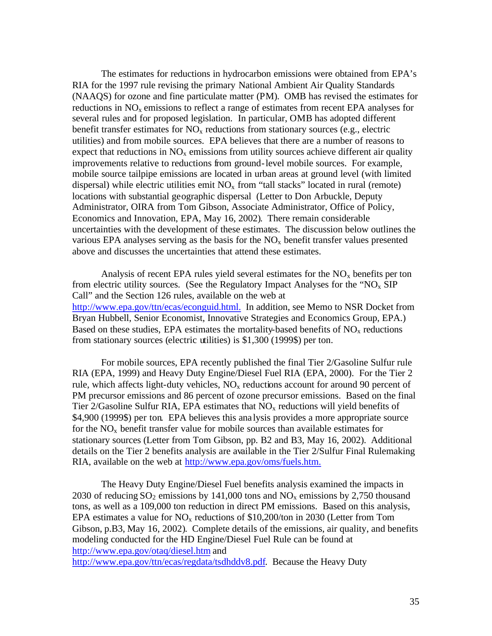The estimates for reductions in hydrocarbon emissions were obtained from EPA's RIA for the 1997 rule revising the primary National Ambient Air Quality Standards (NAAQS) for ozone and fine particulate matter (PM). OMB has revised the estimates for reductions in NO<sub>y</sub> emissions to reflect a range of estimates from recent EPA analyses for several rules and for proposed legislation. In particular, OMB has adopted different benefit transfer estimates for  $NO_x$  reductions from stationary sources (e.g., electric utilities) and from mobile sources. EPA believes that there are a number of reasons to expect that reductions in  $NO<sub>x</sub>$  emissions from utility sources achieve different air quality improvements relative to reductions from ground-level mobile sources. For example, mobile source tailpipe emissions are located in urban areas at ground level (with limited dispersal) while electric utilities emit  $NO<sub>x</sub>$  from "tall stacks" located in rural (remote) locations with substantial geographic dispersal (Letter to Don Arbuckle, Deputy Administrator, OIRA from Tom Gibson, Associate Administrator, Office of Policy, Economics and Innovation, EPA, May 16, 2002). There remain considerable uncertainties with the development of these estimates. The discussion below outlines the various EPA analyses serving as the basis for the  $NO<sub>x</sub>$  benefit transfer values presented above and discusses the uncertainties that attend these estimates.

Analysis of recent EPA rules yield several estimates for the  $NO<sub>x</sub>$  benefits per ton from electric utility sources. (See the Regulatory Impact Analyses for the "NO<sub>x</sub> SIP Call" and the Section 126 rules, available on the web at http://www.epa.gov/ttn/ecas/econguid.html. In addition, see Memo to NSR Docket from Bryan Hubbell, Senior Economist, Innovative Strategies and Economics Group, EPA.) Based on these studies, EPA estimates the mortality-based benefits of  $NO<sub>x</sub>$  reductions from stationary sources (electric utilities) is \$1,300 (1999\$) per ton.

For mobile sources, EPA recently published the final Tier 2/Gasoline Sulfur rule RIA (EPA, 1999) and Heavy Duty Engine/Diesel Fuel RIA (EPA, 2000). For the Tier 2 rule, which affects light-duty vehicles,  $NO<sub>x</sub>$  reductions account for around 90 percent of PM precursor emissions and 86 percent of ozone precursor emissions. Based on the final Tier 2/Gasoline Sulfur RIA, EPA estimates that  $NO<sub>x</sub>$  reductions will yield benefits of \$4,900 (1999\$) per ton. EPA believes this analysis provides a more appropriate source for the  $NO<sub>x</sub>$  benefit transfer value for mobile sources than available estimates for stationary sources (Letter from Tom Gibson, pp. B2 and B3, May 16, 2002). Additional details on the Tier 2 benefits analysis are available in the Tier 2/Sulfur Final Rulemaking RIA, available on the web at http://www.epa.gov/oms/fuels.htm.

The Heavy Duty Engine/Diesel Fuel benefits analysis examined the impacts in 2030 of reducing  $SO_2$  emissions by 141,000 tons and  $NO_x$  emissions by 2,750 thousand tons, as well as a 109,000 ton reduction in direct PM emissions. Based on this analysis, EPA estimates a value for  $NO<sub>x</sub>$  reductions of \$10,200/ton in 2030 (Letter from Tom Gibson, p.B3, May 16, 2002). Complete details of the emissions, air quality, and benefits modeling conducted for the HD Engine/Diesel Fuel Rule can be found at http://www.epa.gov/otaq/diesel.htm and

http://www.epa.gov/ttn/ecas/regdata/tsdhddv8.pdf. Because the Heavy Duty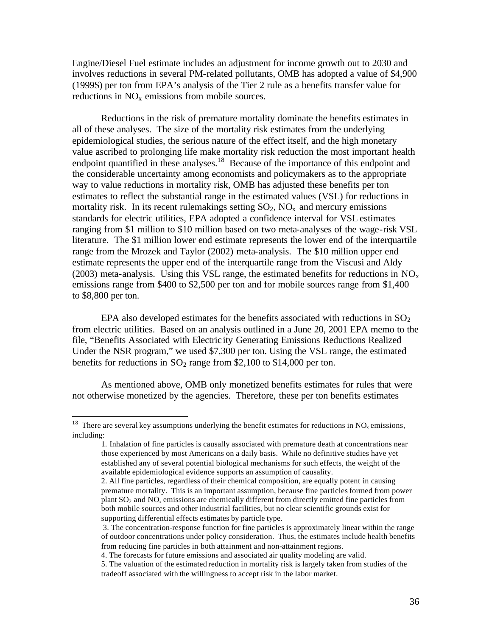Engine/Diesel Fuel estimate includes an adjustment for income growth out to 2030 and involves reductions in several PM-related pollutants, OMB has adopted a value of \$4,900 (1999\$) per ton from EPA's analysis of the Tier 2 rule as a benefits transfer value for reductions in  $NO<sub>x</sub>$  emissions from mobile sources.

Reductions in the risk of premature mortality dominate the benefits estimates in all of these analyses. The size of the mortality risk estimates from the underlying epidemiological studies, the serious nature of the effect itself, and the high monetary value ascribed to prolonging life make mortality risk reduction the most important health endpoint quantified in these analyses.<sup>18</sup> Because of the importance of this endpoint and the considerable uncertainty among economists and policymakers as to the appropriate way to value reductions in mortality risk, OMB has adjusted these benefits per ton estimates to reflect the substantial range in the estimated values (VSL) for reductions in mortality risk. In its recent rulemakings setting  $SO_2$ ,  $NO<sub>x</sub>$  and mercury emissions standards for electric utilities, EPA adopted a confidence interval for VSL estimates ranging from \$1 million to \$10 million based on two meta-analyses of the wage-risk VSL literature. The \$1 million lower end estimate represents the lower end of the interquartile range from the Mrozek and Taylor (2002) meta-analysis. The \$10 million upper end estimate represents the upper end of the interquartile range from the Viscusi and Aldy (2003) meta-analysis. Using this VSL range, the estimated benefits for reductions in  $NO_x$ emissions range from \$400 to \$2,500 per ton and for mobile sources range from \$1,400 to \$8,800 per ton.

EPA also developed estimates for the benefits associated with reductions in  $SO_2$ from electric utilities. Based on an analysis outlined in a June 20, 2001 EPA memo to the file, "Benefits Associated with Electric ity Generating Emissions Reductions Realized Under the NSR program," we used \$7,300 per ton. Using the VSL range, the estimated benefits for reductions in  $SO_2$  range from \$2,100 to \$14,000 per ton.

As mentioned above, OMB only monetized benefits estimates for rules that were not otherwise monetized by the agencies. Therefore, these per ton benefits estimates

<sup>&</sup>lt;sup>18</sup> There are several key assumptions underlying the benefit estimates for reductions in  $NO<sub>x</sub>$  emissions, including:

<sup>1.</sup> Inhalation of fine particles is causally associated with premature death at concentrations near those experienced by most Americans on a daily basis. While no definitive studies have yet established any of several potential biological mechanisms for such effects, the weight of the available epidemiological evidence supports an assumption of causality.

<sup>2.</sup> All fine particles, regardless of their chemical composition, are equally potent in causing premature mortality. This is an important assumption, because fine particles formed from power plant  $SO_2$  and  $NO_x$  emissions are chemically different from directly emitted fine particles from both mobile sources and other industrial facilities, but no clear scientific grounds exist for supporting differential effects estimates by particle type.

 <sup>3.</sup> The concentration-response function for fine particles is approximately linear within the range of outdoor concentrations under policy consideration. Thus, the estimates include health benefits from reducing fine particles in both attainment and non-attainment regions.

<sup>4.</sup> The forecasts for future emissions and associated air quality modeling are valid.

<sup>5.</sup> The valuation of the estimated reduction in mortality risk is largely taken from studies of the tradeoff associated with the willingness to accept risk in the labor market.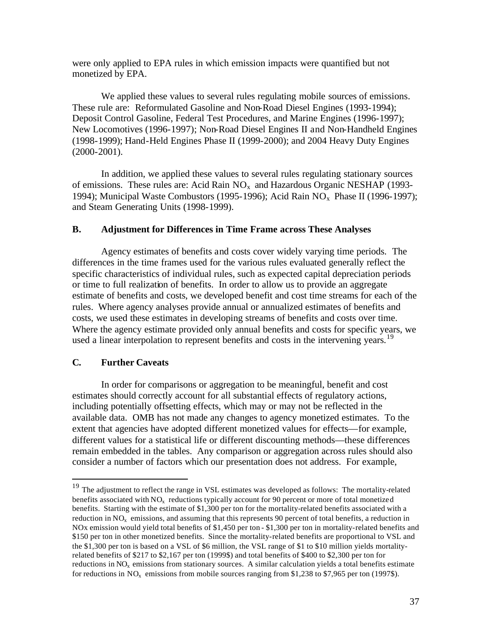were only applied to EPA rules in which emission impacts were quantified but not monetized by EPA.

We applied these values to several rules regulating mobile sources of emissions. These rule are: Reformulated Gasoline and Non-Road Diesel Engines (1993-1994); Deposit Control Gasoline, Federal Test Procedures, and Marine Engines (1996-1997); New Locomotives (1996-1997); Non-Road Diesel Engines II and Non-Handheld Engines (1998-1999); Hand-Held Engines Phase II (1999-2000); and 2004 Heavy Duty Engines (2000-2001).

In addition, we applied these values to several rules regulating stationary sources of emissions. These rules are: Acid Rain  $NO<sub>x</sub>$  and Hazardous Organic NESHAP (1993-1994); Municipal Waste Combustors (1995-1996); Acid Rain  $NO<sub>x</sub>$  Phase II (1996-1997); and Steam Generating Units (1998-1999).

## **B. Adjustment for Differences in Time Frame across These Analyses**

Agency estimates of benefits and costs cover widely varying time periods. The differences in the time frames used for the various rules evaluated generally reflect the specific characteristics of individual rules, such as expected capital depreciation periods or time to full realization of benefits. In order to allow us to provide an aggregate estimate of benefits and costs, we developed benefit and cost time streams for each of the rules. Where agency analyses provide annual or annualized estimates of benefits and costs, we used these estimates in developing streams of benefits and costs over time. Where the agency estimate provided only annual benefits and costs for specific years, we used a linear interpolation to represent benefits and costs in the intervening years.<sup>19</sup>

# **C. Further Caveats**

In order for comparisons or aggregation to be meaningful, benefit and cost estimates should correctly account for all substantial effects of regulatory actions, including potentially offsetting effects, which may or may not be reflected in the available data. OMB has not made any changes to agency monetized estimates. To the extent that agencies have adopted different monetized values for effects—for example, different values for a statistical life or different discounting methods—these differences remain embedded in the tables. Any comparison or aggregation across rules should also consider a number of factors which our presentation does not address. For example,

<sup>&</sup>lt;sup>19</sup> The adjustment to reflect the range in VSL estimates was developed as follows: The mortality-related benefits associated with  $NO<sub>x</sub>$  reductions typically account for 90 percent or more of total monetized benefits. Starting with the estimate of \$1,300 per ton for the mortality-related benefits associated with a reduction in  $NO_x$  emissions, and assuming that this represents 90 percent of total benefits, a reduction in NOx emission would yield total benefits of \$1,450 per ton - \$1,300 per ton in mortality-related benefits and \$150 per ton in other monetized benefits. Since the mortality-related benefits are proportional to VSL and the \$1,300 per ton is based on a VSL of \$6 million, the VSL range of \$1 to \$10 million yields mortalityrelated benefits of \$217 to \$2,167 per ton (1999\$) and total benefits of \$400 to \$2,300 per ton for reductions in  $NO<sub>x</sub>$  emissions from stationary sources. A similar calculation yields a total benefits estimate for reductions in  $NO<sub>x</sub>$  emissions from mobile sources ranging from \$1,238 to \$7,965 per ton (1997\$).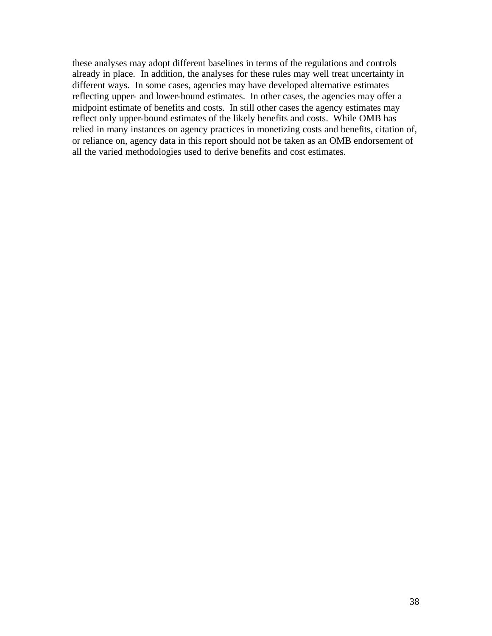these analyses may adopt different baselines in terms of the regulations and controls already in place. In addition, the analyses for these rules may well treat uncertainty in different ways. In some cases, agencies may have developed alternative estimates reflecting upper- and lower-bound estimates. In other cases, the agencies may offer a midpoint estimate of benefits and costs. In still other cases the agency estimates may reflect only upper-bound estimates of the likely benefits and costs. While OMB has relied in many instances on agency practices in monetizing costs and benefits, citation of, or reliance on, agency data in this report should not be taken as an OMB endorsement of all the varied methodologies used to derive benefits and cost estimates.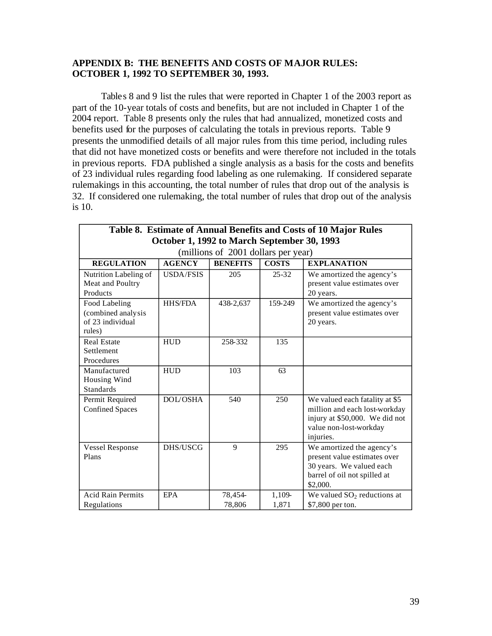# **APPENDIX B: THE BENEFITS AND COSTS OF MAJOR RULES: OCTOBER 1, 1992 TO SEPTEMBER 30, 1993.**

Table s 8 and 9 list the rules that were reported in Chapter 1 of the 2003 report as part of the 10-year totals of costs and benefits, but are not included in Chapter 1 of the 2004 report. Table 8 presents only the rules that had annualized, monetized costs and benefits used for the purposes of calculating the totals in previous reports. Table 9 presents the unmodified details of all major rules from this time period, including rules that did not have monetized costs or benefits and were therefore not included in the totals in previous reports. FDA published a single analysis as a basis for the costs and benefits of 23 individual rules regarding food labeling as one rulemaking. If considered separate rulemakings in this accounting, the total number of rules that drop out of the analysis is 32. If considered one rulemaking, the total number of rules that drop out of the analysis is 10.

| Table 8. Estimate of Annual Benefits and Costs of 10 Major Rules                            |                  |                   |                 |                                                                                                                                          |  |  |  |  |
|---------------------------------------------------------------------------------------------|------------------|-------------------|-----------------|------------------------------------------------------------------------------------------------------------------------------------------|--|--|--|--|
| October 1, 1992 to March September 30, 1993<br>(millions of 2001 dollars per year)          |                  |                   |                 |                                                                                                                                          |  |  |  |  |
| <b>BENEFITS</b><br><b>AGENCY</b><br><b>COSTS</b><br><b>REGULATION</b><br><b>EXPLANATION</b> |                  |                   |                 |                                                                                                                                          |  |  |  |  |
| Nutrition Labeling of<br>Meat and Poultry<br>Products                                       | <b>USDA/FSIS</b> | 205               | $25 - 32$       | We amortized the agency's<br>present value estimates over<br>20 years.                                                                   |  |  |  |  |
| Food Labeling<br>(combined analysis<br>of 23 individual<br>rules)                           | <b>HHS/FDA</b>   | 438-2,637         | 159-249         | We amortized the agency's<br>present value estimates over<br>20 years.                                                                   |  |  |  |  |
| <b>Real Estate</b><br>Settlement<br>Procedures                                              | <b>HUD</b>       | 258-332           | 135             |                                                                                                                                          |  |  |  |  |
| Manufactured<br>Housing Wind<br><b>Standards</b>                                            | <b>HUD</b>       | 103               | 63              |                                                                                                                                          |  |  |  |  |
| Permit Required<br><b>Confined Spaces</b>                                                   | <b>DOL/OSHA</b>  | 540               | 250             | We valued each fatality at \$5<br>million and each lost-workday<br>injury at \$50,000. We did not<br>value non-lost-workday<br>injuries. |  |  |  |  |
| <b>Vessel Response</b><br>Plans                                                             | DHS/USCG         | 9                 | 295             | We amortized the agency's<br>present value estimates over<br>30 years. We valued each<br>barrel of oil not spilled at<br>\$2,000.        |  |  |  |  |
| <b>Acid Rain Permits</b><br>Regulations                                                     | <b>EPA</b>       | 78,454-<br>78,806 | 1,109-<br>1,871 | We valued $SO2$ reductions at<br>\$7,800 per ton.                                                                                        |  |  |  |  |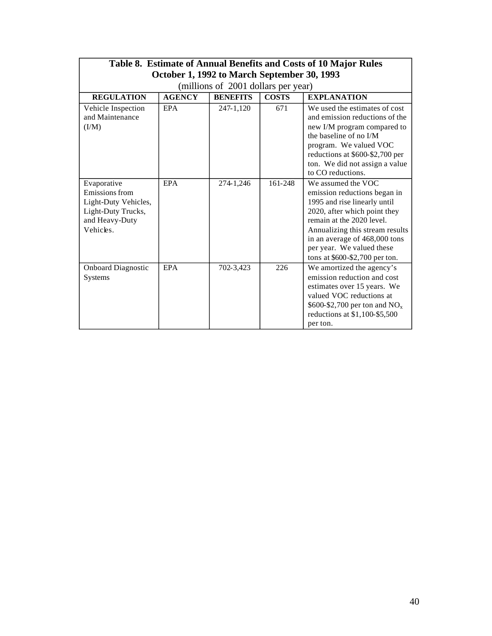| Table 8. Estimate of Annual Benefits and Costs of 10 Major Rules<br>October 1, 1992 to March September 30, 1993 |               |                 |              |                                                                                                                                                                                                                                                                                      |  |  |  |
|-----------------------------------------------------------------------------------------------------------------|---------------|-----------------|--------------|--------------------------------------------------------------------------------------------------------------------------------------------------------------------------------------------------------------------------------------------------------------------------------------|--|--|--|
| (millions of 2001 dollars per year)                                                                             |               |                 |              |                                                                                                                                                                                                                                                                                      |  |  |  |
| <b>REGULATION</b>                                                                                               | <b>AGENCY</b> | <b>BENEFITS</b> | <b>COSTS</b> | <b>EXPLANATION</b>                                                                                                                                                                                                                                                                   |  |  |  |
| Vehicle Inspection<br>and Maintenance<br>(I/M)                                                                  | <b>EPA</b>    | 247-1,120       | 671          | We used the estimates of cost<br>and emission reductions of the<br>new I/M program compared to<br>the baseline of no I/M<br>program. We valued VOC<br>reductions at \$600-\$2,700 per<br>ton. We did not assign a value<br>to CO reductions.                                         |  |  |  |
| Evaporative<br>Emissions from<br>Light-Duty Vehicles,<br>Light-Duty Trucks,<br>and Heavy-Duty<br>Vehicles.      | <b>EPA</b>    | 274-1,246       | 161-248      | We assumed the VOC<br>emission reductions began in<br>1995 and rise linearly until<br>2020, after which point they<br>remain at the 2020 level.<br>Annualizing this stream results<br>in an average of 468,000 tons<br>per year. We valued these<br>tons at $$600 - $2,700$ per ton. |  |  |  |
| <b>Onboard Diagnostic</b><br>Systems                                                                            | <b>EPA</b>    | 702-3,423       | 226          | We amortized the agency's<br>emission reduction and cost<br>estimates over 15 years. We<br>valued VOC reductions at<br>\$600-\$2,700 per ton and $NOx$<br>reductions at $$1,100-\$5,500$<br>per ton.                                                                                 |  |  |  |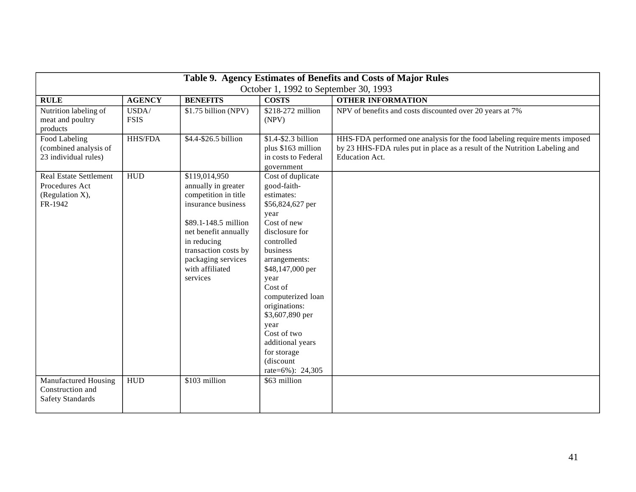| Table 9. Agency Estimates of Benefits and Costs of Major Rules                |                      |                                                                                                                                                                                                                                |                                                                                                                                                                                                                                                                                                                                                   |                                                                                                                                                                                  |  |  |  |
|-------------------------------------------------------------------------------|----------------------|--------------------------------------------------------------------------------------------------------------------------------------------------------------------------------------------------------------------------------|---------------------------------------------------------------------------------------------------------------------------------------------------------------------------------------------------------------------------------------------------------------------------------------------------------------------------------------------------|----------------------------------------------------------------------------------------------------------------------------------------------------------------------------------|--|--|--|
| October 1, 1992 to September 30, 1993                                         |                      |                                                                                                                                                                                                                                |                                                                                                                                                                                                                                                                                                                                                   |                                                                                                                                                                                  |  |  |  |
| <b>RULE</b>                                                                   | <b>AGENCY</b>        | <b>BENEFITS</b>                                                                                                                                                                                                                | <b>COSTS</b>                                                                                                                                                                                                                                                                                                                                      | <b>OTHER INFORMATION</b>                                                                                                                                                         |  |  |  |
| Nutrition labeling of<br>meat and poultry<br>products                         | USDA/<br><b>FSIS</b> | \$1.75 billion (NPV)                                                                                                                                                                                                           | \$218-272 million<br>(NPV)                                                                                                                                                                                                                                                                                                                        | NPV of benefits and costs discounted over 20 years at 7%                                                                                                                         |  |  |  |
| Food Labeling<br>(combined analysis of<br>23 individual rules)                | <b>HHS/FDA</b>       | \$4.4-\$26.5 billion                                                                                                                                                                                                           | \$1.4-\$2.3 billion<br>plus \$163 million<br>in costs to Federal<br>government                                                                                                                                                                                                                                                                    | HHS-FDA performed one analysis for the food labeling requirements imposed<br>by 23 HHS-FDA rules put in place as a result of the Nutrition Labeling and<br><b>Education Act.</b> |  |  |  |
| <b>Real Estate Settlement</b><br>Procedures Act<br>(Regulation X),<br>FR-1942 | HUD                  | \$119,014,950<br>annually in greater<br>competition in title<br>insurance business<br>\$89.1-148.5 million<br>net benefit annually<br>in reducing<br>transaction costs by<br>packaging services<br>with affiliated<br>services | Cost of duplicate<br>good-faith-<br>estimates:<br>\$56,824,627 per<br>year<br>Cost of new<br>disclosure for<br>controlled<br>business<br>arrangements:<br>\$48,147,000 per<br>year<br>Cost of<br>computerized loan<br>originations:<br>\$3,607,890 per<br>year<br>Cost of two<br>additional years<br>for storage<br>(discount<br>rate=6%): 24,305 |                                                                                                                                                                                  |  |  |  |
| Manufactured Housing<br>Construction and<br><b>Safety Standards</b>           | ${\rm HUD}$          | \$103 million                                                                                                                                                                                                                  | \$63 million                                                                                                                                                                                                                                                                                                                                      |                                                                                                                                                                                  |  |  |  |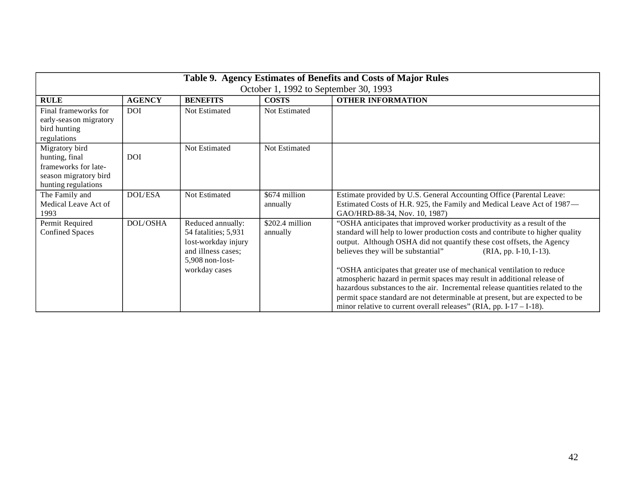| Table 9. Agency Estimates of Benefits and Costs of Major Rules                                           |                 |                                                                                                                            |                             |                                                                                                                                                                                                                                                                                                                                                                                                                                                                                                                                                                                                                                                                                                 |  |  |  |
|----------------------------------------------------------------------------------------------------------|-----------------|----------------------------------------------------------------------------------------------------------------------------|-----------------------------|-------------------------------------------------------------------------------------------------------------------------------------------------------------------------------------------------------------------------------------------------------------------------------------------------------------------------------------------------------------------------------------------------------------------------------------------------------------------------------------------------------------------------------------------------------------------------------------------------------------------------------------------------------------------------------------------------|--|--|--|
| October 1, 1992 to September 30, 1993                                                                    |                 |                                                                                                                            |                             |                                                                                                                                                                                                                                                                                                                                                                                                                                                                                                                                                                                                                                                                                                 |  |  |  |
| <b>RULE</b>                                                                                              | <b>AGENCY</b>   | <b>BENEFITS</b>                                                                                                            | <b>COSTS</b>                | <b>OTHER INFORMATION</b>                                                                                                                                                                                                                                                                                                                                                                                                                                                                                                                                                                                                                                                                        |  |  |  |
| Final frameworks for<br>early-seas on migratory<br>bird hunting<br>regulations                           | <b>DOI</b>      | Not Estimated                                                                                                              | Not Estimated               |                                                                                                                                                                                                                                                                                                                                                                                                                                                                                                                                                                                                                                                                                                 |  |  |  |
| Migratory bird<br>hunting, final<br>frameworks for late-<br>season migratory bird<br>hunting regulations | <b>DOI</b>      | Not Estimated                                                                                                              | Not Estimated               |                                                                                                                                                                                                                                                                                                                                                                                                                                                                                                                                                                                                                                                                                                 |  |  |  |
| The Family and<br>Medical Leave Act of<br>1993                                                           | <b>DOL/ESA</b>  | Not Estimated                                                                                                              | \$674 million<br>annually   | Estimate provided by U.S. General Accounting Office (Parental Leave:<br>Estimated Costs of H.R. 925, the Family and Medical Leave Act of 1987-<br>GAO/HRD-88-34, Nov. 10, 1987)                                                                                                                                                                                                                                                                                                                                                                                                                                                                                                                 |  |  |  |
| Permit Required<br><b>Confined Spaces</b>                                                                | <b>DOL/OSHA</b> | Reduced annually:<br>54 fatalities; 5,931<br>lost-workday injury<br>and illness cases;<br>5,908 non-lost-<br>workday cases | \$202.4 million<br>annually | "OSHA anticipates that improved worker productivity as a result of the<br>standard will help to lower production costs and contribute to higher quality<br>output. Although OSHA did not quantify these cost offsets, the Agency<br>believes they will be substantial"<br>(RIA, pp. I-10, I-13).<br>"OSHA anticipates that greater use of mechanical ventilation to reduce<br>atmospheric hazard in permit spaces may result in additional release of<br>hazardous substances to the air. Incremental release quantities related to the<br>permit space standard are not determinable at present, but are expected to be<br>minor relative to current overall releases" (RIA, pp. I-17 – I-18). |  |  |  |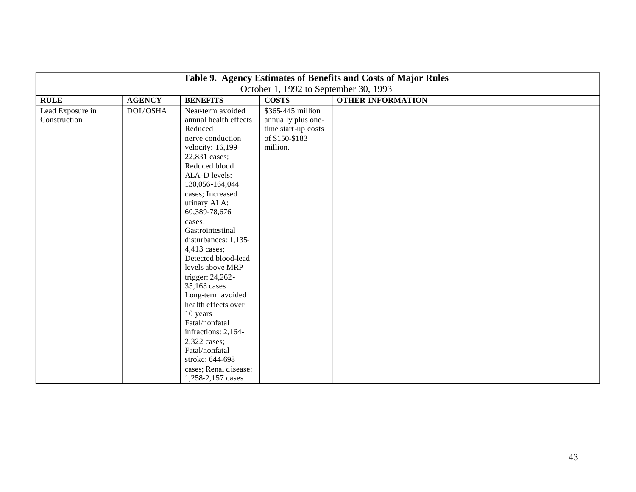| Table 9. Agency Estimates of Benefits and Costs of Major Rules |                 |                                                                                                                                                                                                                                                                                                                                                                                                                                                                                                                                                                                    |                                                                                              |                          |  |  |  |
|----------------------------------------------------------------|-----------------|------------------------------------------------------------------------------------------------------------------------------------------------------------------------------------------------------------------------------------------------------------------------------------------------------------------------------------------------------------------------------------------------------------------------------------------------------------------------------------------------------------------------------------------------------------------------------------|----------------------------------------------------------------------------------------------|--------------------------|--|--|--|
|                                                                |                 |                                                                                                                                                                                                                                                                                                                                                                                                                                                                                                                                                                                    | October 1, 1992 to September 30, 1993                                                        |                          |  |  |  |
| <b>RULE</b>                                                    | <b>AGENCY</b>   | <b>BENEFITS</b>                                                                                                                                                                                                                                                                                                                                                                                                                                                                                                                                                                    | <b>COSTS</b>                                                                                 | <b>OTHER INFORMATION</b> |  |  |  |
| Lead Exposure in<br>Construction                               | <b>DOL/OSHA</b> | Near-term avoided<br>annual health effects<br>Reduced<br>nerve conduction<br>velocity: 16,199-<br>22,831 cases;<br>Reduced blood<br>ALA-D levels:<br>130,056-164,044<br>cases; Increased<br>urinary ALA:<br>60,389-78,676<br>cases;<br>Gastrointestinal<br>disturbances: 1,135-<br>4,413 cases;<br>Detected blood-lead<br>levels above MRP<br>trigger: 24,262-<br>35,163 cases<br>Long-term avoided<br>health effects over<br>10 years<br>Fatal/nonfatal<br>infractions: 2,164-<br>2,322 cases;<br>Fatal/nonfatal<br>stroke: 644-698<br>cases; Renal disease:<br>1,258-2,157 cases | \$365-445 million<br>annually plus one-<br>time start-up costs<br>of \$150-\$183<br>million. |                          |  |  |  |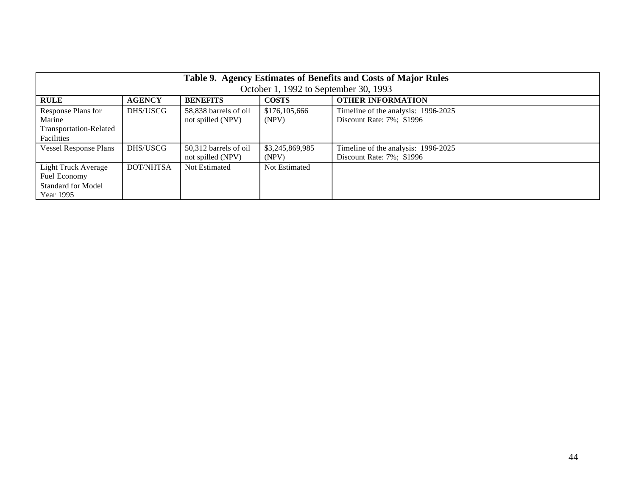| Table 9. Agency Estimates of Benefits and Costs of Major Rules<br>October 1, 1992 to September 30, 1993 |               |                       |                 |                                     |  |  |  |  |
|---------------------------------------------------------------------------------------------------------|---------------|-----------------------|-----------------|-------------------------------------|--|--|--|--|
| <b>RULE</b>                                                                                             | <b>AGENCY</b> | <b>BENEFITS</b>       | <b>COSTS</b>    | <b>OTHER INFORMATION</b>            |  |  |  |  |
| Response Plans for                                                                                      | DHS/USCG      | 58,838 barrels of oil | \$176,105,666   | Timeline of the analysis: 1996-2025 |  |  |  |  |
| Marine                                                                                                  |               | not spilled (NPV)     | (NPV)           | Discount Rate: 7%; \$1996           |  |  |  |  |
| Transportation-Related                                                                                  |               |                       |                 |                                     |  |  |  |  |
| Facilities                                                                                              |               |                       |                 |                                     |  |  |  |  |
| <b>Vessel Response Plans</b>                                                                            | DHS/USCG      | 50,312 barrels of oil | \$3,245,869,985 | Timeline of the analysis: 1996-2025 |  |  |  |  |
|                                                                                                         |               | not spilled (NPV)     | (NPV)           | Discount Rate: 7%; \$1996           |  |  |  |  |
| Light Truck Average                                                                                     | DOT/NHTSA     | Not Estimated         | Not Estimated   |                                     |  |  |  |  |
| Fuel Economy                                                                                            |               |                       |                 |                                     |  |  |  |  |
| <b>Standard for Model</b>                                                                               |               |                       |                 |                                     |  |  |  |  |
| Year 1995                                                                                               |               |                       |                 |                                     |  |  |  |  |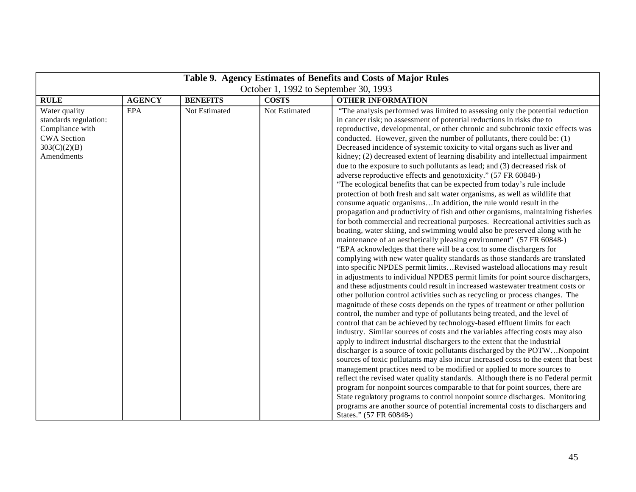| Table 9. Agency Estimates of Benefits and Costs of Major Rules                                                |               |                 |               |                                                                                                                                                                                                                                                                                                                                                                                                                                                                                                                                                                                                                                                                                                                                                                                                                                                                                                                                                                                                                                                                                                                                                                                                                                                                                                                                                                                                                                                                                                                                                                                                                                                                                                                                                                                                                                                                                                                                                                                                                                                                                                                                                                                                                                                                                                                                                                                                                                                                                                                                                                                                                                                                                                             |  |
|---------------------------------------------------------------------------------------------------------------|---------------|-----------------|---------------|-------------------------------------------------------------------------------------------------------------------------------------------------------------------------------------------------------------------------------------------------------------------------------------------------------------------------------------------------------------------------------------------------------------------------------------------------------------------------------------------------------------------------------------------------------------------------------------------------------------------------------------------------------------------------------------------------------------------------------------------------------------------------------------------------------------------------------------------------------------------------------------------------------------------------------------------------------------------------------------------------------------------------------------------------------------------------------------------------------------------------------------------------------------------------------------------------------------------------------------------------------------------------------------------------------------------------------------------------------------------------------------------------------------------------------------------------------------------------------------------------------------------------------------------------------------------------------------------------------------------------------------------------------------------------------------------------------------------------------------------------------------------------------------------------------------------------------------------------------------------------------------------------------------------------------------------------------------------------------------------------------------------------------------------------------------------------------------------------------------------------------------------------------------------------------------------------------------------------------------------------------------------------------------------------------------------------------------------------------------------------------------------------------------------------------------------------------------------------------------------------------------------------------------------------------------------------------------------------------------------------------------------------------------------------------------------------------------|--|
| October 1, 1992 to September 30, 1993                                                                         |               |                 |               |                                                                                                                                                                                                                                                                                                                                                                                                                                                                                                                                                                                                                                                                                                                                                                                                                                                                                                                                                                                                                                                                                                                                                                                                                                                                                                                                                                                                                                                                                                                                                                                                                                                                                                                                                                                                                                                                                                                                                                                                                                                                                                                                                                                                                                                                                                                                                                                                                                                                                                                                                                                                                                                                                                             |  |
| <b>RULE</b>                                                                                                   | <b>AGENCY</b> | <b>BENEFITS</b> | <b>COSTS</b>  | <b>OTHER INFORMATION</b>                                                                                                                                                                                                                                                                                                                                                                                                                                                                                                                                                                                                                                                                                                                                                                                                                                                                                                                                                                                                                                                                                                                                                                                                                                                                                                                                                                                                                                                                                                                                                                                                                                                                                                                                                                                                                                                                                                                                                                                                                                                                                                                                                                                                                                                                                                                                                                                                                                                                                                                                                                                                                                                                                    |  |
| Water quality<br>standards regulation:<br>Compliance with<br><b>CWA Section</b><br>303(C)(2)(B)<br>Amendments | <b>EPA</b>    | Not Estimated   | Not Estimated | "The analysis performed was limited to assessing only the potential reduction<br>in cancer risk; no assessment of potential reductions in risks due to<br>reproductive, developmental, or other chronic and subchronic toxic effects was<br>conducted. However, given the number of pollutants, there could be: (1)<br>Decreased incidence of systemic toxicity to vital organs such as liver and<br>kidney; (2) decreased extent of learning disability and intellectual impairment<br>due to the exposure to such pollutants as lead; and (3) decreased risk of<br>adverse reproductive effects and genotoxicity." (57 FR 60848-)<br>"The ecological benefits that can be expected from today's rule include<br>protection of both fresh and salt water organisms, as well as wildlife that<br>consume aquatic organismsIn addition, the rule would result in the<br>propagation and productivity of fish and other organisms, maintaining fisheries<br>for both commercial and recreational purposes. Recreational activities such as<br>boating, water skiing, and swimming would also be preserved along with he<br>maintenance of an aesthetically pleasing environment" (57 FR 60848-)<br>"EPA acknowledges that there will be a cost to some dischargers for<br>complying with new water quality standards as those standards are translated<br>into specific NPDES permit limitsRevised wasteload allocations may result<br>in adjustments to individual NPDES permit limits for point source dischargers,<br>and these adjustments could result in increased wastewater treatment costs or<br>other pollution control activities such as recycling or process changes. The<br>magnitude of these costs depends on the types of treatment or other pollution<br>control, the number and type of pollutants being treated, and the level of<br>control that can be achieved by technology-based effluent limits for each<br>industry. Similar sources of costs and the variables affecting costs may also<br>apply to indirect industrial dischargers to the extent that the industrial<br>discharger is a source of toxic pollutants discharged by the POTWNonpoint<br>sources of toxic pollutants may also incur increased costs to the extent that best<br>management practices need to be modified or applied to more sources to<br>reflect the revised water quality standards. Although there is no Federal permit<br>program for nonpoint sources comparable to that for point sources, there are<br>State regulatory programs to control nonpoint source discharges. Monitoring<br>programs are another source of potential incremental costs to dischargers and<br>States." (57 FR 60848-) |  |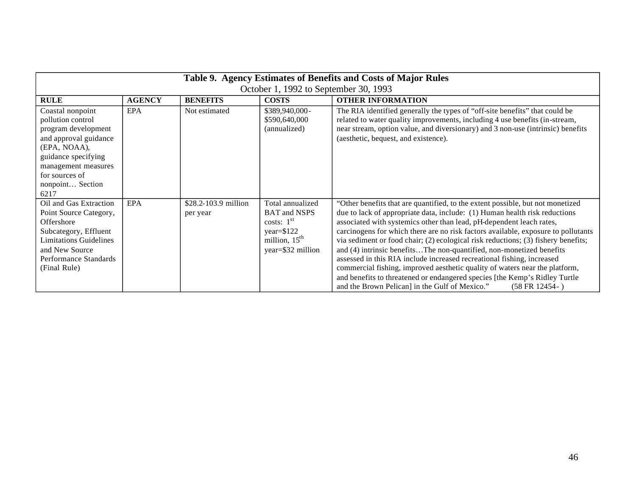| Table 9. Agency Estimates of Benefits and Costs of Major Rules                                                                                                                                    |               |                                  |                                                                                                                  |                                                                                                                                                                                                                                                                                                                                                                                                                                                                                                                                                                                                                                                                                                                                                                                                     |
|---------------------------------------------------------------------------------------------------------------------------------------------------------------------------------------------------|---------------|----------------------------------|------------------------------------------------------------------------------------------------------------------|-----------------------------------------------------------------------------------------------------------------------------------------------------------------------------------------------------------------------------------------------------------------------------------------------------------------------------------------------------------------------------------------------------------------------------------------------------------------------------------------------------------------------------------------------------------------------------------------------------------------------------------------------------------------------------------------------------------------------------------------------------------------------------------------------------|
| October 1, 1992 to September 30, 1993                                                                                                                                                             |               |                                  |                                                                                                                  |                                                                                                                                                                                                                                                                                                                                                                                                                                                                                                                                                                                                                                                                                                                                                                                                     |
| <b>RULE</b>                                                                                                                                                                                       | <b>AGENCY</b> | <b>BENEFITS</b>                  | <b>COSTS</b>                                                                                                     | <b>OTHER INFORMATION</b>                                                                                                                                                                                                                                                                                                                                                                                                                                                                                                                                                                                                                                                                                                                                                                            |
| Coastal nonpoint<br>pollution control<br>program development<br>and approval guidance<br>(EPA, NOAA),<br>guidance specifying<br>management measures<br>for sources of<br>nonpoint Section<br>6217 | <b>EPA</b>    | Not estimated                    | \$389,940,000-<br>\$590,640,000<br>(annualized)                                                                  | The RIA identified generally the types of "off-site benefits" that could be<br>related to water quality improvements, including 4 use benefits (in-stream,<br>near stream, option value, and diversionary) and 3 non-use (intrinsic) benefits<br>(aesthetic, bequest, and existence).                                                                                                                                                                                                                                                                                                                                                                                                                                                                                                               |
| Oil and Gas Extraction<br>Point Source Category,<br>Offershore<br>Subcategory, Effluent<br><b>Limitations Guidelines</b><br>and New Source<br>Performance Standards<br>(Final Rule)               | <b>EPA</b>    | \$28.2-103.9 million<br>per year | Total annualized<br><b>BAT</b> and NSPS<br>costs: $1st$<br>$year = $122$<br>million, $15th$<br>year=\$32 million | "Other benefits that are quantified, to the extent possible, but not monetized<br>due to lack of appropriate data, include: (1) Human health risk reductions<br>associated with systemics other than lead, pH-dependent leach rates,<br>carcinogens for which there are no risk factors available, exposure to pollutants<br>via sediment or food chair; (2) ecological risk reductions; (3) fishery benefits;<br>and (4) intrinsic benefitsThe non-quantified, non-monetized benefits<br>assessed in this RIA include increased recreational fishing, increased<br>commercial fishing, improved aesthetic quality of waters near the platform,<br>and benefits to threatened or endangered species [the Kemp's Ridley Turtle<br>and the Brown Pelican] in the Gulf of Mexico."<br>$(58 FR 12454-)$ |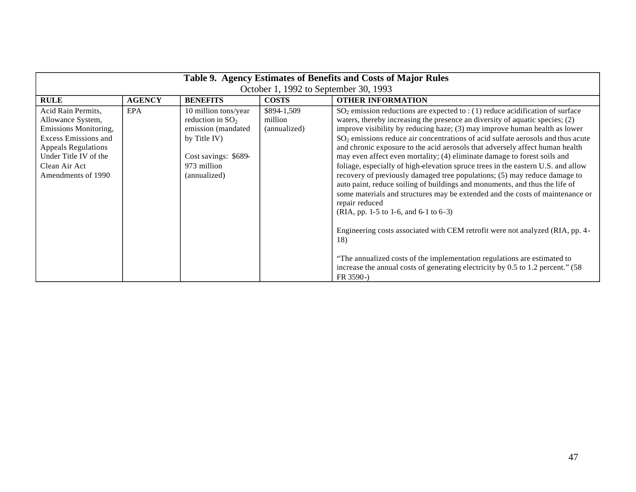| Table 9. Agency Estimates of Benefits and Costs of Major Rules                                                                                                                                |               |                                                                                                                                         |                                        |                                                                                                                                                                                                                                                                                                                                                                                                                                                                                                                                                                                                                                                                                                                                                                                                                                                                                                                                                                                                                                                                                                                                                                    |  |
|-----------------------------------------------------------------------------------------------------------------------------------------------------------------------------------------------|---------------|-----------------------------------------------------------------------------------------------------------------------------------------|----------------------------------------|--------------------------------------------------------------------------------------------------------------------------------------------------------------------------------------------------------------------------------------------------------------------------------------------------------------------------------------------------------------------------------------------------------------------------------------------------------------------------------------------------------------------------------------------------------------------------------------------------------------------------------------------------------------------------------------------------------------------------------------------------------------------------------------------------------------------------------------------------------------------------------------------------------------------------------------------------------------------------------------------------------------------------------------------------------------------------------------------------------------------------------------------------------------------|--|
| October 1, 1992 to September 30, 1993                                                                                                                                                         |               |                                                                                                                                         |                                        |                                                                                                                                                                                                                                                                                                                                                                                                                                                                                                                                                                                                                                                                                                                                                                                                                                                                                                                                                                                                                                                                                                                                                                    |  |
| <b>RULE</b>                                                                                                                                                                                   | <b>AGENCY</b> | <b>BENEFITS</b>                                                                                                                         | <b>COSTS</b>                           | <b>OTHER INFORMATION</b>                                                                                                                                                                                                                                                                                                                                                                                                                                                                                                                                                                                                                                                                                                                                                                                                                                                                                                                                                                                                                                                                                                                                           |  |
| Acid Rain Permits,<br>Allowance System,<br>Emissions Monitoring,<br><b>Excess Emissions and</b><br><b>Appeals Regulations</b><br>Under Title IV of the<br>Clean Air Act<br>Amendments of 1990 | EPA           | 10 million tons/year<br>reduction in $SO2$<br>emission (mandated<br>by Title IV)<br>Cost savings: \$689-<br>973 million<br>(annualized) | \$894-1,509<br>million<br>(annualized) | $SO_2$ emission reductions are expected to : (1) reduce acidification of surface<br>waters, thereby increasing the presence an diversity of aquatic species; (2)<br>improve visibility by reducing haze; (3) may improve human health as lower<br>$SO2$ emissions reduce air concentrations of acid sulfate aerosols and thus acute<br>and chronic exposure to the acid aerosols that adversely affect human health<br>may even affect even mortality; (4) eliminate damage to forest soils and<br>foliage, especially of high-elevation spruce trees in the eastern U.S. and allow<br>recovery of previously damaged tree populations; (5) may reduce damage to<br>auto paint, reduce soiling of buildings and monuments, and thus the life of<br>some materials and structures may be extended and the costs of maintenance or<br>repair reduced<br>(RIA, pp. 1-5 to 1-6, and 6-1 to 6-3)<br>Engineering costs associated with CEM retrofit were not analyzed (RIA, pp. 4-<br>18)<br>"The annualized costs of the implementation regulations are estimated to<br>increase the annual costs of generating electricity by 0.5 to 1.2 percent." (58)<br>$FR 3590 -$ |  |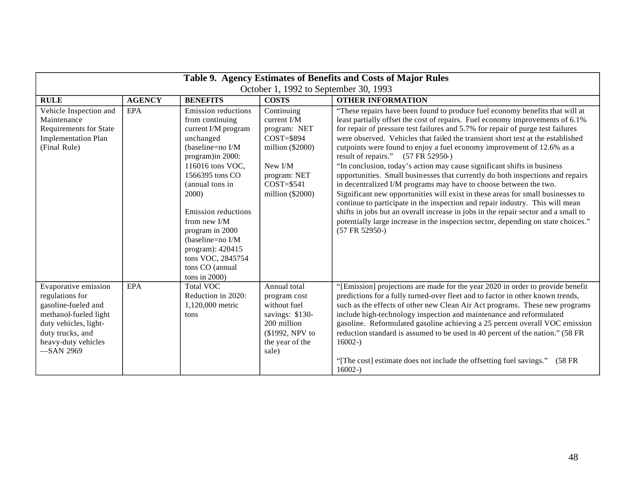| Table 9. Agency Estimates of Benefits and Costs of Major Rules                                                                                                              |               |                                                                                                                                                                                                                                                                                                                                                             |                                                                                                                                                      |                                                                                                                                                                                                                                                                                                                                                                                                                                                                                                                                                                                                                                                                                                                                                                                                                                                                                                                                                                                                                                                               |  |
|-----------------------------------------------------------------------------------------------------------------------------------------------------------------------------|---------------|-------------------------------------------------------------------------------------------------------------------------------------------------------------------------------------------------------------------------------------------------------------------------------------------------------------------------------------------------------------|------------------------------------------------------------------------------------------------------------------------------------------------------|---------------------------------------------------------------------------------------------------------------------------------------------------------------------------------------------------------------------------------------------------------------------------------------------------------------------------------------------------------------------------------------------------------------------------------------------------------------------------------------------------------------------------------------------------------------------------------------------------------------------------------------------------------------------------------------------------------------------------------------------------------------------------------------------------------------------------------------------------------------------------------------------------------------------------------------------------------------------------------------------------------------------------------------------------------------|--|
| October 1, 1992 to September 30, 1993                                                                                                                                       |               |                                                                                                                                                                                                                                                                                                                                                             |                                                                                                                                                      |                                                                                                                                                                                                                                                                                                                                                                                                                                                                                                                                                                                                                                                                                                                                                                                                                                                                                                                                                                                                                                                               |  |
| <b>RULE</b>                                                                                                                                                                 | <b>AGENCY</b> | <b>BENEFITS</b>                                                                                                                                                                                                                                                                                                                                             | <b>COSTS</b>                                                                                                                                         | <b>OTHER INFORMATION</b>                                                                                                                                                                                                                                                                                                                                                                                                                                                                                                                                                                                                                                                                                                                                                                                                                                                                                                                                                                                                                                      |  |
| Vehicle Inspection and<br>Maintenance<br>Requirements for State<br><b>Implementation Plan</b><br>(Final Rule)                                                               | <b>EPA</b>    | <b>Emission</b> reductions<br>from continuing<br>current I/M program<br>unchanged<br>(baseline=no I/M<br>program) in 2000:<br>116016 tons VOC,<br>1566395 tons CO<br>(annual tons in<br>2000)<br>Emission reductions<br>from new I/M<br>program in 2000<br>(baseline=no I/M<br>program): 420415<br>tons VOC, 2845754<br>tons CO (annual<br>tons in $2000$ ) | Continuing<br>current $I/M$<br>program: NET<br>$COST = $894$<br>million $(\$2000)$<br>New I/M<br>program: NET<br>$COST = $541$<br>million $(\$2000)$ | "These repairs have been found to produce fuel economy benefits that will at<br>least partially offset the cost of repairs. Fuel economy improvements of 6.1%<br>for repair of pressure test failures and 5.7% for repair of purge test failures<br>were observed. Vehicles that failed the transient short test at the established<br>cutpoints were found to enjoy a fuel economy improvement of 12.6% as a<br>result of repairs."<br>$(57 FR 52950-)$<br>"In conclusion, today's action may cause significant shifts in business<br>opportunities. Small businesses that currently do both inspections and repairs<br>in decentralized I/M programs may have to choose between the two.<br>Significant new opportunities will exist in these areas for small businesses to<br>continue to participate in the inspection and repair industry. This will mean<br>shifts in jobs but an overall increase in jobs in the repair sector and a small to<br>potentially large increase in the inspection sector, depending on state choices."<br>$(57 FR 52950-)$ |  |
| Evaporative emission<br>regulations for<br>gasoline-fueled and<br>methanol-fueled light<br>duty vehicles, light-<br>duty trucks, and<br>heavy-duty vehicles<br>$-$ SAN 2969 | <b>EPA</b>    | <b>Total VOC</b><br>Reduction in 2020:<br>1,120,000 metric<br>tons                                                                                                                                                                                                                                                                                          | Annual total<br>program cost<br>without fuel<br>savings: \$130-<br>200 million<br>(\$1992, NPV to<br>the year of the<br>sale)                        | "[Emission] projections are made for the year 2020 in order to provide benefit<br>predictions for a fully turned-over fleet and to factor in other known trends,<br>such as the effects of other new Clean Air Act programs. These new programs<br>include high-technology inspection and maintenance and reformulated<br>gasoline. Reformulated gasoline achieving a 25 percent overall VOC emission<br>reduction standard is assumed to be used in 40 percent of the nation." (58 FR<br>$16002 -$<br>"[The cost] estimate does not include the offsetting fuel savings."<br>$(58$ FR<br>$16002 -$                                                                                                                                                                                                                                                                                                                                                                                                                                                           |  |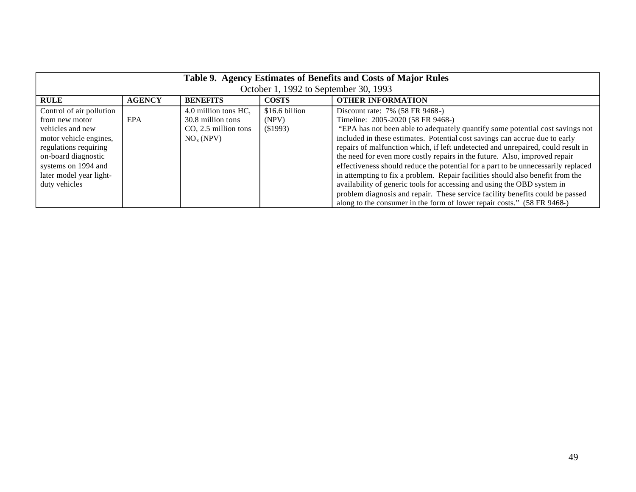| Table 9. Agency Estimates of Benefits and Costs of Major Rules<br>October 1, 1992 to September 30, 1993 |               |                         |                |                                                                                   |
|---------------------------------------------------------------------------------------------------------|---------------|-------------------------|----------------|-----------------------------------------------------------------------------------|
| <b>RULE</b>                                                                                             | <b>AGENCY</b> | <b>BENEFITS</b>         | <b>COSTS</b>   | <b>OTHER INFORMATION</b>                                                          |
| Control of air pollution                                                                                |               | 4.0 million tons HC,    | \$16.6 billion | Discount rate: 7% (58 FR 9468-)                                                   |
| from new motor                                                                                          | EPA           | 30.8 million tons       | (NPV)          | Timeline: 2005-2020 (58 FR 9468-)                                                 |
| vehicles and new                                                                                        |               | $CO$ , 2.5 million tons | (S1993)        | "EPA has not been able to adequately quantify some potential cost savings not     |
| motor vehicle engines,                                                                                  |               | NO <sub>x</sub> (NPV)   |                | included in these estimates. Potential cost savings can accrue due to early       |
| regulations requiring                                                                                   |               |                         |                | repairs of malfunction which, if left undetected and unrepaired, could result in  |
| on-board diagnostic                                                                                     |               |                         |                | the need for even more costly repairs in the future. Also, improved repair        |
| systems on 1994 and                                                                                     |               |                         |                | effectiveness should reduce the potential for a part to be unnecessarily replaced |
| later model year light-                                                                                 |               |                         |                | in attempting to fix a problem. Repair facilities should also benefit from the    |
| duty vehicles                                                                                           |               |                         |                | availability of generic tools for accessing and using the OBD system in           |
|                                                                                                         |               |                         |                | problem diagnosis and repair. These service facility benefits could be passed     |
|                                                                                                         |               |                         |                | along to the consumer in the form of lower repair costs." (58 FR 9468-)           |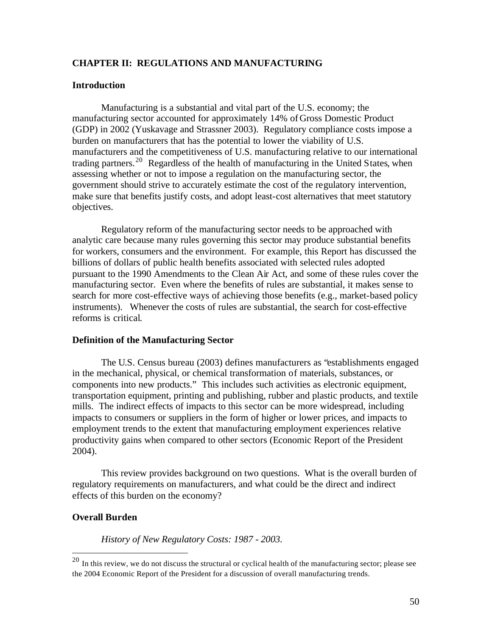# **CHAPTER II: REGULATIONS AND MANUFACTURING**

#### **Introduction**

Manufacturing is a substantial and vital part of the U.S. economy; the manufacturing sector accounted for approximately 14% of Gross Domestic Product (GDP) in 2002 (Yuskavage and Strassner 2003). Regulatory compliance costs impose a burden on manufacturers that has the potential to lower the viability of U.S. manufacturers and the competitiveness of U.S. manufacturing relative to our international trading partners.<sup>20</sup> Regardless of the health of manufacturing in the United States, when assessing whether or not to impose a regulation on the manufacturing sector, the government should strive to accurately estimate the cost of the regulatory intervention, make sure that benefits justify costs, and adopt least-cost alternatives that meet statutory objectives.

Regulatory reform of the manufacturing sector needs to be approached with analytic care because many rules governing this sector may produce substantial benefits for workers, consumers and the environment. For example, this Report has discussed the billions of dollars of public health benefits associated with selected rules adopted pursuant to the 1990 Amendments to the Clean Air Act, and some of these rules cover the manufacturing sector. Even where the benefits of rules are substantial, it makes sense to search for more cost-effective ways of achieving those benefits (e.g., market-based policy instruments). Whenever the costs of rules are substantial, the search for cost-effective reforms is critical.

# **Definition of the Manufacturing Sector**

The U.S. Census bureau (2003) defines manufacturers as "establishments engaged in the mechanical, physical, or chemical transformation of materials, substances, or components into new products." This includes such activities as electronic equipment, transportation equipment, printing and publishing, rubber and plastic products, and textile mills. The indirect effects of impacts to this sector can be more widespread, including impacts to consumers or suppliers in the form of higher or lower prices, and impacts to employment trends to the extent that manufacturing employment experiences relative productivity gains when compared to other sectors (Economic Report of the President 2004).

This review provides background on two questions. What is the overall burden of regulatory requirements on manufacturers, and what could be the direct and indirect effects of this burden on the economy?

## **Overall Burden**

*History of New Regulatory Costs: 1987 - 2003.* 

 $^{20}$  In this review, we do not discuss the structural or cyclical health of the manufacturing sector; please see the 2004 Economic Report of the President for a discussion of overall manufacturing trends.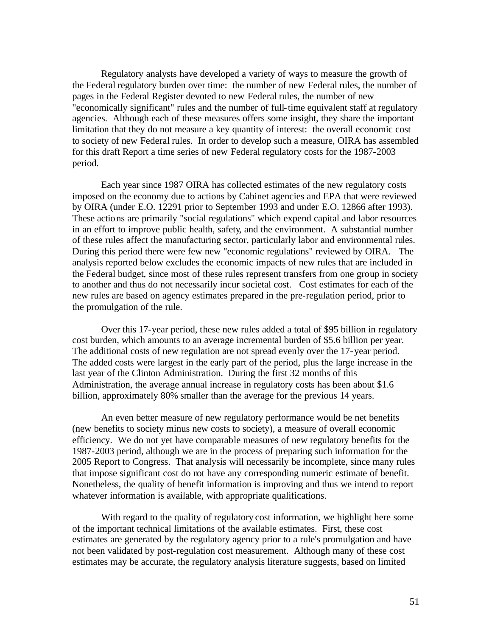Regulatory analysts have developed a variety of ways to measure the growth of the Federal regulatory burden over time: the number of new Federal rules, the number of pages in the Federal Register devoted to new Federal rules, the number of new "economically significant" rules and the number of full-time equivalent staff at regulatory agencies. Although each of these measures offers some insight, they share the important limitation that they do not measure a key quantity of interest: the overall economic cost to society of new Federal rules. In order to develop such a measure, OIRA has assembled for this draft Report a time series of new Federal regulatory costs for the 1987-2003 period.

Each year since 1987 OIRA has collected estimates of the new regulatory costs imposed on the economy due to actions by Cabinet agencies and EPA that were reviewed by OIRA (under E.O. 12291 prior to September 1993 and under E.O. 12866 after 1993). These actio ns are primarily "social regulations" which expend capital and labor resources in an effort to improve public health, safety, and the environment. A substantial number of these rules affect the manufacturing sector, particularly labor and environmental rules. During this period there were few new "economic regulations" reviewed by OIRA. The analysis reported below excludes the economic impacts of new rules that are included in the Federal budget, since most of these rules represent transfers from one group in society to another and thus do not necessarily incur societal cost. Cost estimates for each of the new rules are based on agency estimates prepared in the pre-regulation period, prior to the promulgation of the rule.

Over this 17-year period, these new rules added a total of \$95 billion in regulatory cost burden, which amounts to an average incremental burden of \$5.6 billion per year. The additional costs of new regulation are not spread evenly over the 17-year period. The added costs were largest in the early part of the period, plus the large increase in the last year of the Clinton Administration. During the first 32 months of this Administration, the average annual increase in regulatory costs has been about \$1.6 billion, approximately 80% smaller than the average for the previous 14 years.

An even better measure of new regulatory performance would be net benefits (new benefits to society minus new costs to society), a measure of overall economic efficiency. We do not yet have comparable measures of new regulatory benefits for the 1987-2003 period, although we are in the process of preparing such information for the 2005 Report to Congress. That analysis will necessarily be incomplete, since many rules that impose significant cost do not have any corresponding numeric estimate of benefit. Nonetheless, the quality of benefit information is improving and thus we intend to report whatever information is available, with appropriate qualifications.

With regard to the quality of regulatory cost information, we highlight here some of the important technical limitations of the available estimates. First, these cost estimates are generated by the regulatory agency prior to a rule's promulgation and have not been validated by post-regulation cost measurement. Although many of these cost estimates may be accurate, the regulatory analysis literature suggests, based on limited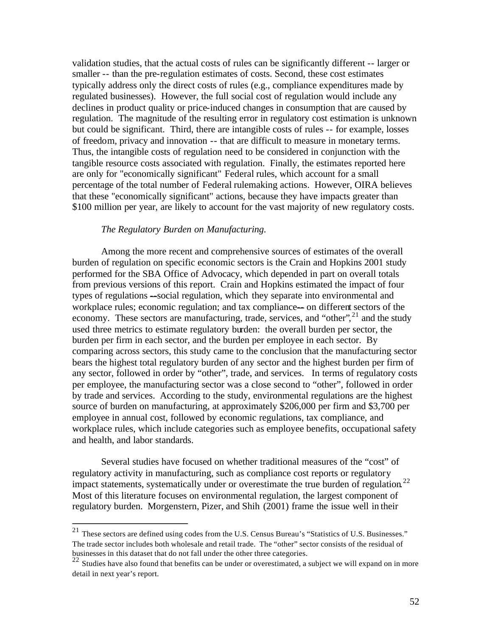validation studies, that the actual costs of rules can be significantly different -- larger or smaller -- than the pre-regulation estimates of costs. Second, these cost estimates typically address only the direct costs of rules (e.g., compliance expenditures made by regulated businesses). However, the full social cost of regulation would include any declines in product quality or price-induced changes in consumption that are caused by regulation. The magnitude of the resulting error in regulatory cost estimation is unknown but could be significant. Third, there are intangible costs of rules -- for example, losses of freedom, privacy and innovation -- that are difficult to measure in monetary terms. Thus, the intangible costs of regulation need to be considered in conjunction with the tangible resource costs associated with regulation. Finally, the estimates reported here are only for "economically significant" Federal rules, which account for a small percentage of the total number of Federal rulemaking actions. However, OIRA believes that these "economically significant" actions, because they have impacts greater than \$100 million per year, are likely to account for the vast majority of new regulatory costs.

## *The Regulatory Burden on Manufacturing.*

Among the more recent and comprehensive sources of estimates of the overall burden of regulation on specific economic sectors is the Crain and Hopkins 2001 study performed for the SBA Office of Advocacy, which depended in part on overall totals from previous versions of this report. Crain and Hopkins estimated the impact of four types of regulations --social regulation, which they separate into environmental and workplace rules; economic regulation; and tax compliance— on different sectors of the economy. These sectors are manufacturing, trade, services, and "other",<sup>21</sup> and the study used three metrics to estimate regulatory burden: the overall burden per sector, the burden per firm in each sector, and the burden per employee in each sector. By comparing across sectors, this study came to the conclusion that the manufacturing sector bears the highest total regulatory burden of any sector and the highest burden per firm of any sector, followed in order by "other", trade, and services. In terms of regulatory costs per employee, the manufacturing sector was a close second to "other", followed in order by trade and services. According to the study, environmental regulations are the highest source of burden on manufacturing, at approximately \$206,000 per firm and \$3,700 per employee in annual cost, followed by economic regulations, tax compliance, and workplace rules, which include categories such as employee benefits, occupational safety and health, and labor standards.

Several studies have focused on whether traditional measures of the "cost" of regulatory activity in manufacturing, such as compliance cost reports or regulatory impact statements, systematically under or overestimate the true burden of regulation.<sup>22</sup> Most of this literature focuses on environmental regulation, the largest component of regulatory burden. Morgenstern, Pizer, and Shih (2001) frame the issue well in their

<sup>21</sup> These sectors are defined using codes from the U.S. Census Bureau's "Statistics of U.S. Businesses." The trade sector includes both wholesale and retail trade. The "other" sector consists of the residual of

businesses in this dataset that do not fall under the other three categories.<br><sup>22</sup> Studies have also found that benefits can be under or overestimated, a subject we will expand on in more detail in next year's report.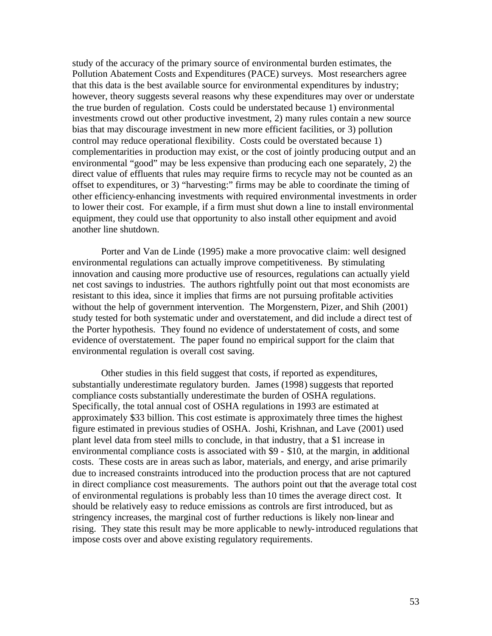study of the accuracy of the primary source of environmental burden estimates, the Pollution Abatement Costs and Expenditures (PACE) surveys. Most researchers agree that this data is the best available source for environmental expenditures by industry; however, theory suggests several reasons why these expenditures may over or understate the true burden of regulation. Costs could be understated because 1) environmental investments crowd out other productive investment, 2) many rules contain a new source bias that may discourage investment in new more efficient facilities, or 3) pollution control may reduce operational flexibility. Costs could be overstated because 1) complementarities in production may exist, or the cost of jointly producing output and an environmental "good" may be less expensive than producing each one separately, 2) the direct value of effluents that rules may require firms to recycle may not be counted as an offset to expenditures, or 3) "harvesting:" firms may be able to coordinate the timing of other efficiency-enhancing investments with required environmental investments in order to lower their cost. For example, if a firm must shut down a line to install environmental equipment, they could use that opportunity to also install other equipment and avoid another line shutdown.

Porter and Van de Linde (1995) make a more provocative claim: well designed environmental regulations can actually improve competitiveness. By stimulating innovation and causing more productive use of resources, regulations can actually yield net cost savings to industries. The authors rightfully point out that most economists are resistant to this idea, since it implies that firms are not pursuing profitable activities without the help of government intervention. The Morgenstern, Pizer, and Shih (2001) study tested for both systematic under and overstatement, and did include a direct test of the Porter hypothesis. They found no evidence of understatement of costs, and some evidence of overstatement. The paper found no empirical support for the claim that environmental regulation is overall cost saving.

Other studies in this field suggest that costs, if reported as expenditures, substantially underestimate regulatory burden. James (1998) suggests that reported compliance costs substantially underestimate the burden of OSHA regulations. Specifically, the total annual cost of OSHA regulations in 1993 are estimated at approximately \$33 billion. This cost estimate is approximately three times the highest figure estimated in previous studies of OSHA. Joshi, Krishnan, and Lave (2001) used plant level data from steel mills to conclude, in that industry, that a \$1 increase in environmental compliance costs is associated with \$9 - \$10, at the margin, in additional costs. These costs are in areas such as labor, materials, and energy, and arise primarily due to increased constraints introduced into the production process that are not captured in direct compliance cost measurements. The authors point out that the average total cost of environmental regulations is probably less than 10 times the average direct cost. It should be relatively easy to reduce emissions as controls are first introduced, but as stringency increases, the marginal cost of further reductions is likely non-linear and rising. They state this result may be more applicable to newly-introduced regulations that impose costs over and above existing regulatory requirements.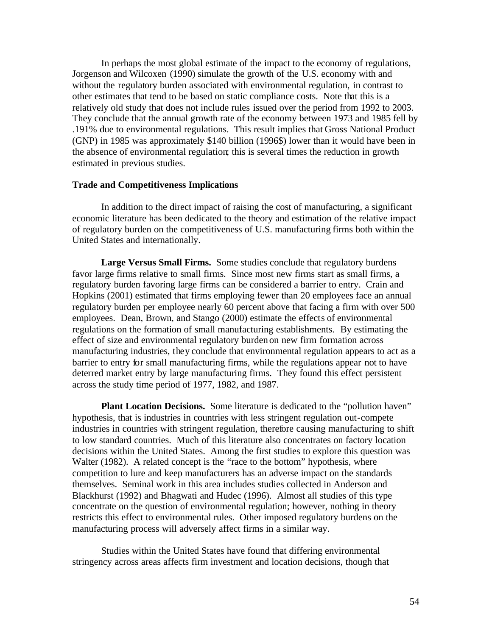In perhaps the most global estimate of the impact to the economy of regulations, Jorgenson and Wilcoxen (1990) simulate the growth of the U.S. economy with and without the regulatory burden associated with environmental regulation, in contrast to other estimates that tend to be based on static compliance costs. Note that this is a relatively old study that does not include rules issued over the period from 1992 to 2003. They conclude that the annual growth rate of the economy between 1973 and 1985 fell by .191% due to environmental regulations. This result implies that Gross National Product (GNP) in 1985 was approximately \$140 billion (1996\$) lower than it would have been in the absence of environmental regulation; this is several times the reduction in growth estimated in previous studies.

#### **Trade and Competitiveness Implications**

In addition to the direct impact of raising the cost of manufacturing, a significant economic literature has been dedicated to the theory and estimation of the relative impact of regulatory burden on the competitiveness of U.S. manufacturing firms both within the United States and internationally.

**Large Versus Small Firms.** Some studies conclude that regulatory burdens favor large firms relative to small firms. Since most new firms start as small firms, a regulatory burden favoring large firms can be considered a barrier to entry. Crain and Hopkins (2001) estimated that firms employing fewer than 20 employees face an annual regulatory burden per employee nearly 60 percent above that facing a firm with over 500 employees. Dean, Brown, and Stango (2000) estimate the effects of environmental regulations on the formation of small manufacturing establishments. By estimating the effect of size and environmental regulatory burden on new firm formation across manufacturing industries, they conclude that environmental regulation appears to act as a barrier to entry for small manufacturing firms, while the regulations appear not to have deterred market entry by large manufacturing firms. They found this effect persistent across the study time period of 1977, 1982, and 1987.

**Plant Location Decisions.** Some literature is dedicated to the "pollution haven" hypothesis, that is industries in countries with less stringent regulation out-compete industries in countries with stringent regulation, therefore causing manufacturing to shift to low standard countries. Much of this literature also concentrates on factory location decisions within the United States. Among the first studies to explore this question was Walter (1982). A related concept is the "race to the bottom" hypothesis, where competition to lure and keep manufacturers has an adverse impact on the standards themselves. Seminal work in this area includes studies collected in Anderson and Blackhurst (1992) and Bhagwati and Hudec (1996). Almost all studies of this type concentrate on the question of environmental regulation; however, nothing in theory restricts this effect to environmental rules. Other imposed regulatory burdens on the manufacturing process will adversely affect firms in a similar way.

Studies within the United States have found that differing environmental stringency across areas affects firm investment and location decisions, though that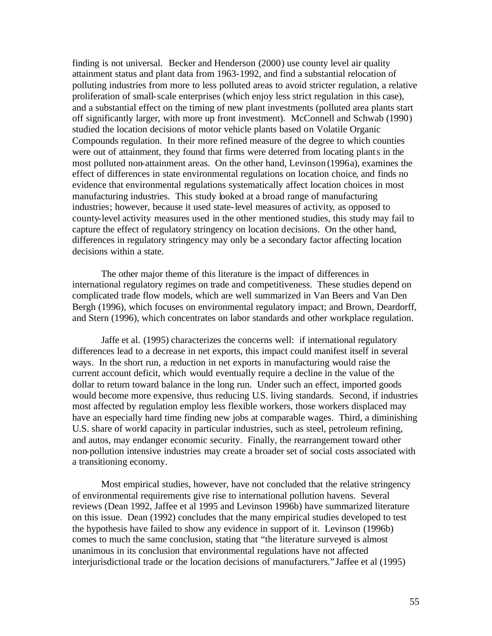finding is not universal. Becker and Henderson (2000) use county level air quality attainment status and plant data from 1963-1992, and find a substantial relocation of polluting industries from more to less polluted areas to avoid stricter regulation, a relative proliferation of small-scale enterprises (which enjoy less strict regulation in this case), and a substantial effect on the timing of new plant investments (polluted area plants start off significantly larger, with more up front investment). McConnell and Schwab (1990) studied the location decisions of motor vehicle plants based on Volatile Organic Compounds regulation. In their more refined measure of the degree to which counties were out of attainment, they found that firms were deterred from locating plant s in the most polluted non-attainment areas. On the other hand, Levinson (1996a), examines the effect of differences in state environmental regulations on location choice, and finds no evidence that environmental regulations systematically affect location choices in most manufacturing industries. This study looked at a broad range of manufacturing industries; however, because it used state-level measures of activity, as opposed to county-level activity measures used in the other mentioned studies, this study may fail to capture the effect of regulatory stringency on location decisions. On the other hand, differences in regulatory stringency may only be a secondary factor affecting location decisions within a state.

The other major theme of this literature is the impact of differences in international regulatory regimes on trade and competitiveness. These studies depend on complicated trade flow models, which are well summarized in Van Beers and Van Den Bergh (1996), which focuses on environmental regulatory impact; and Brown, Deardorff, and Stern (1996), which concentrates on labor standards and other workplace regulation.

Jaffe et al. (1995) characterizes the concerns well: if international regulatory differences lead to a decrease in net exports, this impact could manifest itself in several ways. In the short run, a reduction in net exports in manufacturing would raise the current account deficit, which would eventually require a decline in the value of the dollar to return toward balance in the long run. Under such an effect, imported goods would become more expensive, thus reducing U.S. living standards. Second, if industries most affected by regulation employ less flexible workers, those workers displaced may have an especially hard time finding new jobs at comparable wages. Third, a diminishing U.S. share of world capacity in particular industries, such as steel, petroleum refining, and autos, may endanger economic security. Finally, the rearrangement toward other non-pollution intensive industries may create a broader set of social costs associated with a transitioning economy.

Most empirical studies, however, have not concluded that the relative stringency of environmental requirements give rise to international pollution havens. Several reviews (Dean 1992, Jaffee et al 1995 and Levinson 1996b) have summarized literature on this issue. Dean (1992) concludes that the many empirical studies developed to test the hypothesis have failed to show any evidence in support of it. Levinson (1996b) comes to much the same conclusion, stating that "the literature surveyed is almost unanimous in its conclusion that environmental regulations have not affected interjurisdictional trade or the location decisions of manufacturers." Jaffee et al (1995)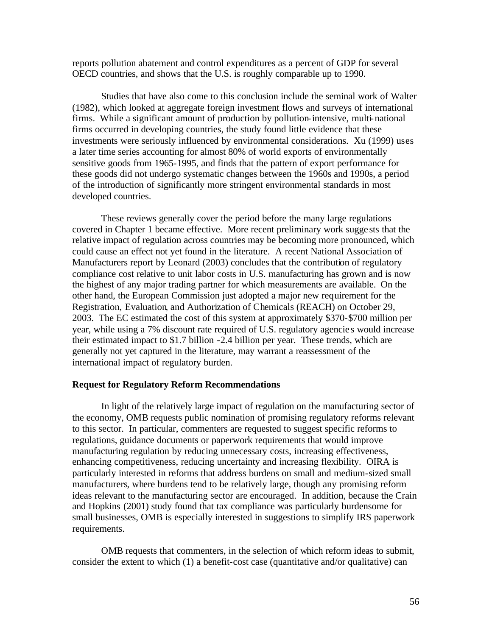reports pollution abatement and control expenditures as a percent of GDP for several OECD countries, and shows that the U.S. is roughly comparable up to 1990.

Studies that have also come to this conclusion include the seminal work of Walter (1982), which looked at aggregate foreign investment flows and surveys of international firms. While a significant amount of production by pollution-intensive, multi-national firms occurred in developing countries, the study found little evidence that these investments were seriously influenced by environmental considerations. Xu (1999) uses a later time series accounting for almost 80% of world exports of environmentally sensitive goods from 1965-1995, and finds that the pattern of export performance for these goods did not undergo systematic changes between the 1960s and 1990s, a period of the introduction of significantly more stringent environmental standards in most developed countries.

These reviews generally cover the period before the many large regulations covered in Chapter 1 became effective. More recent preliminary work sugge sts that the relative impact of regulation across countries may be becoming more pronounced, which could cause an effect not yet found in the literature. A recent National Association of Manufacturers report by Leonard (2003) concludes that the contribution of regulatory compliance cost relative to unit labor costs in U.S. manufacturing has grown and is now the highest of any major trading partner for which measurements are available. On the other hand, the European Commission just adopted a major new requirement for the Registration, Evaluation, and Authorization of Chemicals (REACH) on October 29, 2003. The EC estimated the cost of this system at approximately \$370-\$700 million per year, while using a 7% discount rate required of U.S. regulatory agencie s would increase their estimated impact to \$1.7 billion -2.4 billion per year. These trends, which are generally not yet captured in the literature, may warrant a reassessment of the international impact of regulatory burden.

#### **Request for Regulatory Reform Recommendations**

In light of the relatively large impact of regulation on the manufacturing sector of the economy, OMB requests public nomination of promising regulatory reforms relevant to this sector. In particular, commenters are requested to suggest specific reforms to regulations, guidance documents or paperwork requirements that would improve manufacturing regulation by reducing unnecessary costs, increasing effectiveness, enhancing competitiveness, reducing uncertainty and increasing flexibility. OIRA is particularly interested in reforms that address burdens on small and medium-sized small manufacturers, where burdens tend to be relatively large, though any promising reform ideas relevant to the manufacturing sector are encouraged. In addition, because the Crain and Hopkins (2001) study found that tax compliance was particularly burdensome for small businesses, OMB is especially interested in suggestions to simplify IRS paperwork requirements.

OMB requests that commenters, in the selection of which reform ideas to submit, consider the extent to which (1) a benefit-cost case (quantitative and/or qualitative) can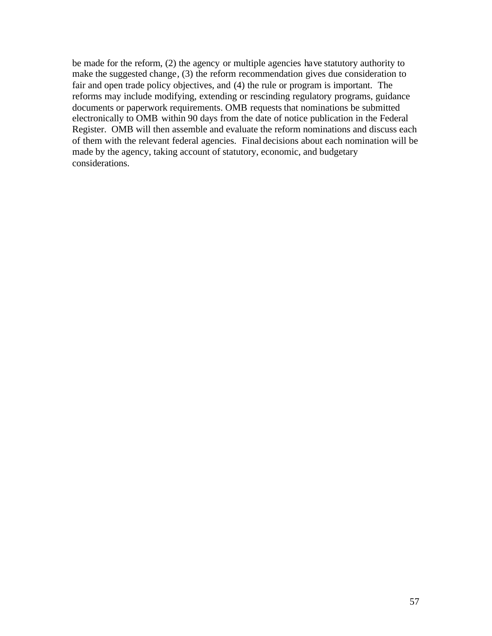be made for the reform, (2) the agency or multiple agencies have statutory authority to make the suggested change, (3) the reform recommendation gives due consideration to fair and open trade policy objectives, and (4) the rule or program is important. The reforms may include modifying, extending or rescinding regulatory programs, guidance documents or paperwork requirements. OMB requests that nominations be submitted electronically to OMB within 90 days from the date of notice publication in the Federal Register. OMB will then assemble and evaluate the reform nominations and discuss each of them with the relevant federal agencies. Final decisions about each nomination will be made by the agency, taking account of statutory, economic, and budgetary considerations.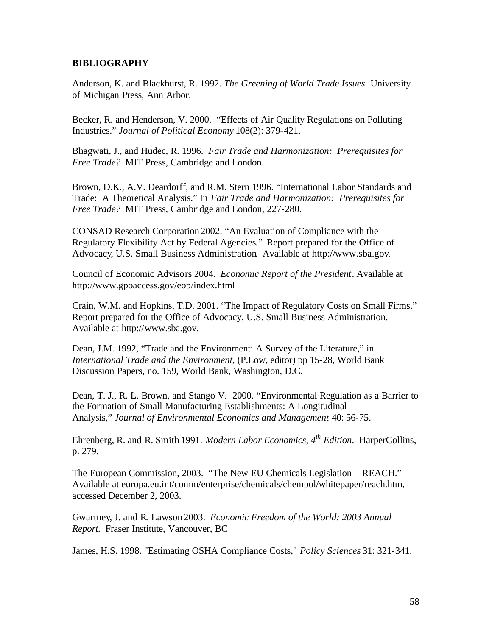# **BIBLIOGRAPHY**

Anderson, K. and Blackhurst, R. 1992. *The Greening of World Trade Issues.* University of Michigan Press, Ann Arbor.

Becker, R. and Henderson, V. 2000. "Effects of Air Quality Regulations on Polluting Industries." *Journal of Political Economy* 108(2): 379-421.

Bhagwati, J., and Hudec, R. 1996. *Fair Trade and Harmonization: Prerequisites for Free Trade?* MIT Press, Cambridge and London.

Brown, D.K., A.V. Deardorff, and R.M. Stern 1996. "International Labor Standards and Trade: A Theoretical Analysis." In *Fair Trade and Harmonization: Prerequisites for Free Trade?* MIT Press, Cambridge and London, 227-280.

CONSAD Research Corporation 2002. "An Evaluation of Compliance with the Regulatory Flexibility Act by Federal Agencies." Report prepared for the Office of Advocacy, U.S. Small Business Administration. Available at http://www.sba.gov.

Council of Economic Advisors 2004. *Economic Report of the President*. Available at http://www.gpoaccess.gov/eop/index.html

Crain, W.M. and Hopkins, T.D. 2001. "The Impact of Regulatory Costs on Small Firms." Report prepared for the Office of Advocacy, U.S. Small Business Administration. Available at http://www.sba.gov.

Dean, J.M. 1992, "Trade and the Environment: A Survey of the Literature," in *International Trade and the Environment,* (P.Low, editor) pp 15-28, World Bank Discussion Papers, no. 159, World Bank, Washington, D.C.

Dean, T. J., R. L. Brown, and Stango V. 2000. "Environmental Regulation as a Barrier to the Formation of Small Manufacturing Establishments: A Longitudinal Analysis," *Journal of Environmental Economics and Management* 40: 56-75.

Ehrenberg, R. and R. Smith 1991. *Modern Labor Economics*, *4th Edition*. HarperCollins, p. 279.

The European Commission, 2003. "The New EU Chemicals Legislation – REACH." Available at europa.eu.int/comm/enterprise/chemicals/chempol/whitepaper/reach.htm, accessed December 2, 2003.

Gwartney, J. and R. Lawson 2003. *Economic Freedom of the World: 2003 Annual Report.* Fraser Institute, Vancouver, BC

James, H.S. 1998. "Estimating OSHA Compliance Costs," *Policy Sciences* 31: 321-341.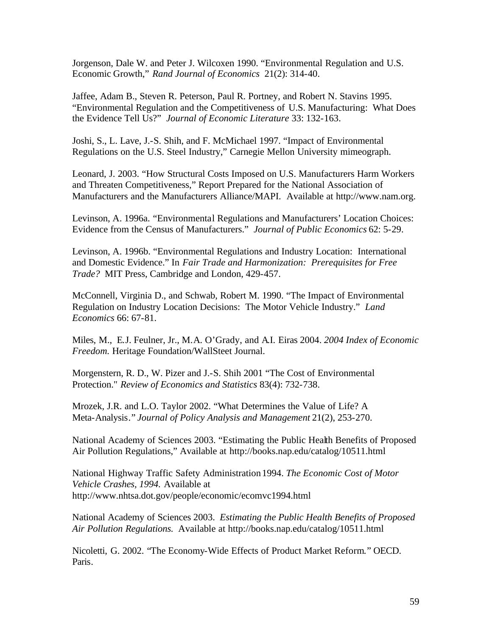Jorgenson, Dale W. and Peter J. Wilcoxen 1990. "Environmental Regulation and U.S. Economic Growth," *Rand Journal of Economics* 21(2): 314-40.

Jaffee, Adam B., Steven R. Peterson, Paul R. Portney, and Robert N. Stavins 1995. "Environmental Regulation and the Competitiveness of U.S. Manufacturing: What Does the Evidence Tell Us?" *Journal of Economic Literature* 33: 132-163.

Joshi, S., L. Lave, J.-S. Shih, and F. McMichael 1997. "Impact of Environmental Regulations on the U.S. Steel Industry," Carnegie Mellon University mimeograph.

Leonard, J. 2003. "How Structural Costs Imposed on U.S. Manufacturers Harm Workers and Threaten Competitiveness," Report Prepared for the National Association of Manufacturers and the Manufacturers Alliance/MAPI. Available at http://www.nam.org.

Levinson, A. 1996a. "Environmental Regulations and Manufacturers' Location Choices: Evidence from the Census of Manufacturers." *Journal of Public Economics* 62: 5-29.

Levinson, A. 1996b. "Environmental Regulations and Industry Location: International and Domestic Evidence." In *Fair Trade and Harmonization: Prerequisites for Free Trade?* MIT Press, Cambridge and London, 429-457.

McConnell, Virginia D., and Schwab, Robert M. 1990. "The Impact of Environmental Regulation on Industry Location Decisions: The Motor Vehicle Industry." *Land Economics* 66: 67-81.

Miles, M., E.J. Feulner, Jr., M.A. O'Grady, and A.I. Eiras 2004. *2004 Index of Economic Freedom.* Heritage Foundation/WallSteet Journal.

Morgenstern, R. D., W. Pizer and J.-S. Shih 2001 "The Cost of Environmental Protection." *Review of Economics and Statistics* 83(4): 732-738.

Mrozek, J.R. and L.O. Taylor 2002. "What Determines the Value of Life? A Meta-Analysis." *Journal of Policy Analysis and Management* 21(2), 253-270.

National Academy of Sciences 2003. "Estimating the Public Health Benefits of Proposed Air Pollution Regulations," Available at http://books.nap.edu/catalog/10511.html

National Highway Traffic Safety Administration 1994. *The Economic Cost of Motor Vehicle Crashes, 1994.* Available at http://www.nhtsa.dot.gov/people/economic/ecomvc1994.html

National Academy of Sciences 2003. *Estimating the Public Health Benefits of Proposed Air Pollution Regulations.* Available at http://books.nap.edu/catalog/10511.html

Nicoletti, G. 2002. "The Economy-Wide Effects of Product Market Reform." OECD. Paris.